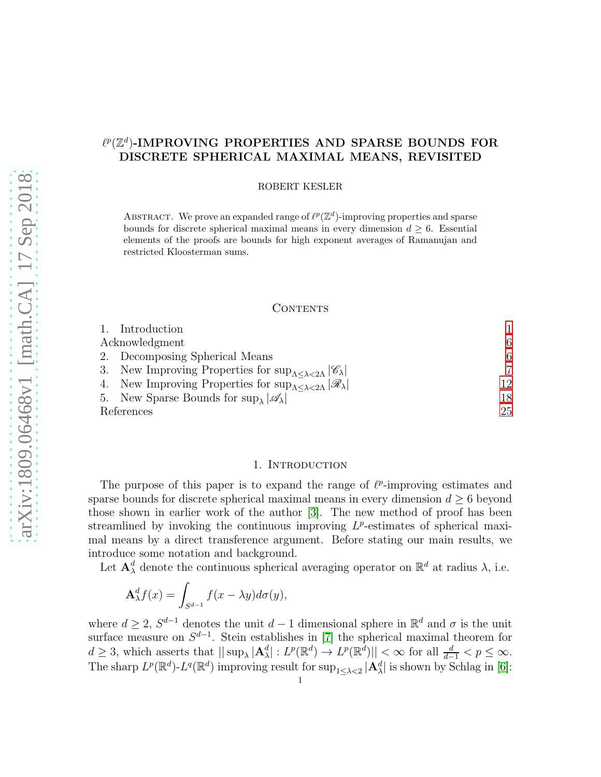# $\ell^p(\mathbb{Z}^d)$ -IMPROVING PROPERTIES AND SPARSE BOUNDS FOR DISCRETE SPHERICAL MAXIMAL MEANS, REVISITED

ROBERT KESLER

ABSTRACT. We prove an expanded range of  $\ell^p(\mathbb{Z}^d)$ -improving properties and sparse bounds for discrete spherical maximal means in every dimension  $d \geq 6$ . Essential elements of the proofs are bounds for high exponent averages of Ramanujan and restricted Kloosterman sums.

## CONTENTS

|                | 1. Introduction                                                                                     |                |
|----------------|-----------------------------------------------------------------------------------------------------|----------------|
| Acknowledgment |                                                                                                     | 6              |
|                | 2. Decomposing Spherical Means                                                                      | 6              |
|                | 3. New Improving Properties for $\sup_{\Lambda \leq \lambda \leq 2\Lambda}  \mathscr{C}_{\lambda} $ | $\overline{7}$ |
|                | 4. New Improving Properties for $\sup_{\Lambda \leq \lambda \leq 2\Lambda}  \mathscr{R}_{\lambda} $ | 12             |
|                | 5. New Sparse Bounds for $\sup_{\lambda}  \mathscr{A}_{\lambda} $                                   | 18             |
| References     |                                                                                                     | 25             |

## 1. INTRODUCTION

<span id="page-0-0"></span>The purpose of this paper is to expand the range of  $\ell^p$ -improving estimates and sparse bounds for discrete spherical maximal means in every dimension  $d \geq 6$  beyond those shown in earlier work of the author [\[3\]](#page-24-1). The new method of proof has been streamlined by invoking the continuous improving  $L^p$ -estimates of spherical maximal means by a direct transference argument. Before stating our main results, we introduce some notation and background.

Let  $\mathbf{A}^d_\lambda$  denote the continuous spherical averaging operator on  $\mathbb{R}^d$  at radius  $\lambda$ , i.e.

$$
\mathbf{A}_{\lambda}^d f(x) = \int_{S^{d-1}} f(x - \lambda y) d\sigma(y),
$$

where  $d \geq 2$ ,  $S^{d-1}$  denotes the unit  $d-1$  dimensional sphere in  $\mathbb{R}^d$  and  $\sigma$  is the unit surface measure on  $S^{d-1}$ . Stein establishes in [\[7\]](#page-24-2) the spherical maximal theorem for  $d \geq 3$ , which asserts that  $\|\sup_{\lambda} |A_{\lambda}^d| : L^p(\mathbb{R}^d) \to L^p(\mathbb{R}^d) \| < \infty$  for all  $\frac{d}{d-1} < p \leq \infty$ . The sharp  $L^p(\mathbb{R}^d)$ - $L^q(\mathbb{R}^d)$  improving result for  $\sup_{1 \leq \lambda < 2} |\mathbf{A}^d_\lambda|$  is shown by Schlag in [\[6\]](#page-24-3):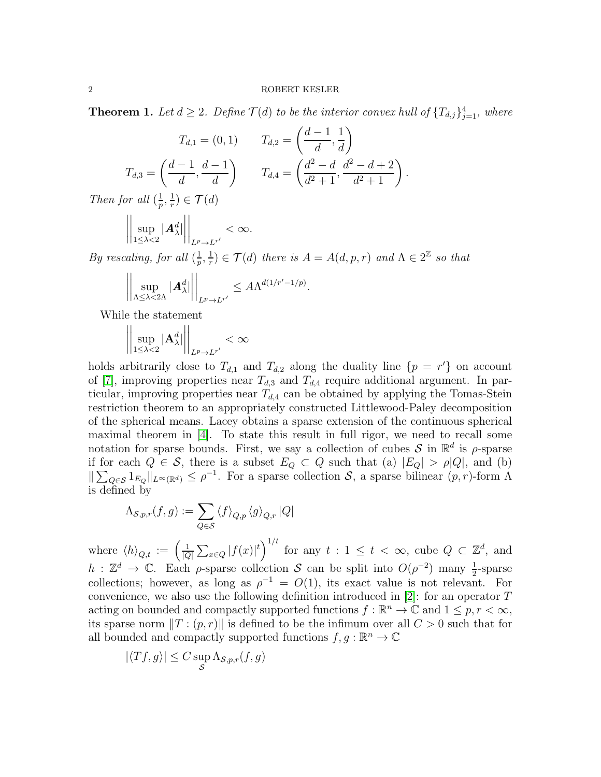<span id="page-1-0"></span>**Theorem 1.** Let  $d \geq 2$ . Define  $\mathcal{T}(d)$  to be the interior convex hull of  $\{T_{d,j}\}_{j=1}^4$ , where

.

$$
T_{d,1} = (0,1) \t T_{d,2} = \left(\frac{d-1}{d}, \frac{1}{d}\right)
$$

$$
T_{d,3} = \left(\frac{d-1}{d}, \frac{d-1}{d}\right) \t T_{d,4} = \left(\frac{d^2-d}{d^2+1}, \frac{d^2-d+2}{d^2+1}\right)
$$

Then for all  $\left(\frac{1}{n}\right)$  $\frac{1}{p},\frac{1}{r}$  $(\frac{1}{r}) \in \mathcal{T}(d)$ 

$$
\left|\left|\sup_{1\leq\lambda<2}|{\bm{A}}_{\lambda}^d|\right|\right|_{L^p\to L^{r'}}<\infty.
$$

By rescaling, for all  $(\frac{1}{n})$  $\frac{1}{p},\frac{1}{r}$  $\frac{1}{r} \in \mathcal{T}(d)$  there is  $A = A(d, p, r)$  and  $\Lambda \in 2^{\mathbb{Z}}$  so that

$$
\left|\left|\sup_{\Lambda\leq\lambda<2\Lambda}|{\bf A}^d_\lambda|\right|\right|_{L^p\to L^{r'}}\leq A\Lambda^{d(1/r'-1/p)}.
$$

While the statement

$$
\left|\left|\sup_{1\leq\lambda<2}|{\bf A}^d_\lambda|\right|\right|_{L^p\to L^{r'}}<\infty
$$

holds arbitrarily close to  $T_{d,1}$  and  $T_{d,2}$  along the duality line  $\{p = r'\}$  on account of [\[7\]](#page-24-2), improving properties near  $T_{d,3}$  and  $T_{d,4}$  require additional argument. In particular, improving properties near  $T_{d,4}$  can be obtained by applying the Tomas-Stein restriction theorem to an appropriately constructed Littlewood-Paley decomposition of the spherical means. Lacey obtains a sparse extension of the continuous spherical maximal theorem in [\[4\]](#page-24-4). To state this result in full rigor, we need to recall some notation for sparse bounds. First, we say a collection of cubes  $S$  in  $\mathbb{R}^d$  is  $\rho$ -sparse if for each  $Q \in \mathcal{S}$ , there is a subset  $E_Q \subset Q$  such that (a)  $|E_Q| > \rho |Q|$ , and (b)  $\|\sum_{Q\in\mathcal{S}}1_{E_Q}\|_{L^{\infty}(\mathbb{R}^d)}\leq \rho^{-1}$ . For a sparse collection  $\mathcal{S}$ , a sparse bilinear  $(p,r)$ -form  $\Lambda$ is defined by

$$
\Lambda_{\mathcal{S},p,r}(f,g) := \sum_{Q \in \mathcal{S}} \langle f \rangle_{Q,p} \langle g \rangle_{Q,r} |Q|
$$

where  $\langle h \rangle_{Q,t} := \left( \frac{1}{|Q|} \right)$  $|Q|$  $\sum_{x \in Q} |f(x)|^t \bigg)^{1/t}$  for any  $t : 1 \le t < \infty$ , cube  $Q \subset \mathbb{Z}^d$ , and h :  $\mathbb{Z}^d \to \mathbb{C}$ . Each  $\rho$ -sparse collection S can be split into  $O(\rho^{-2})$  many  $\frac{1}{2}$ -sparse collections; however, as long as  $\rho^{-1} = O(1)$ , its exact value is not relevant. For convenience, we also use the following definition introduced in [\[2\]](#page-24-5): for an operator T acting on bounded and compactly supported functions  $f : \mathbb{R}^n \to \mathbb{C}$  and  $1 \leq p, r < \infty$ , its sparse norm  $||T:(p, r)||$  is defined to be the infimum over all  $C > 0$  such that for all bounded and compactly supported functions  $f, g : \mathbb{R}^n \to \mathbb{C}$ 

$$
|\langle Tf, g \rangle| \leq C \sup_{\mathcal{S}} \Lambda_{\mathcal{S},p,r}(f,g)
$$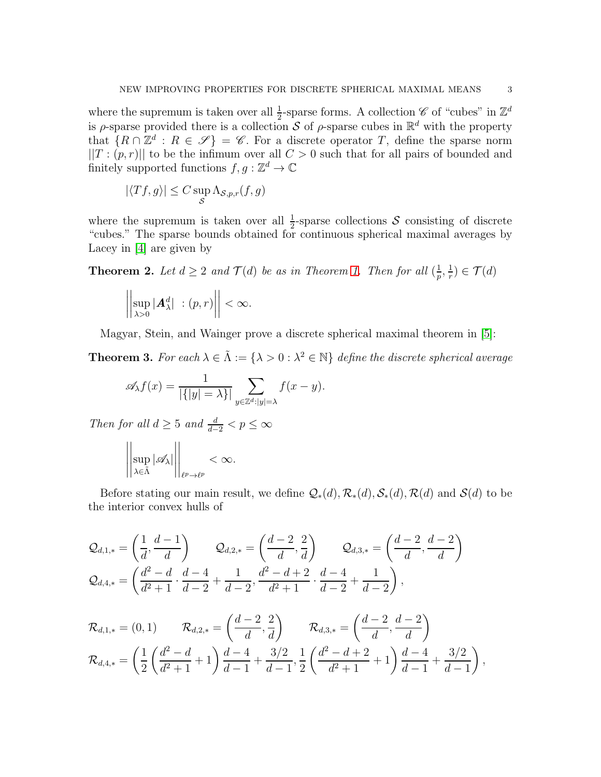where the supremum is taken over all  $\frac{1}{2}$ -sparse forms. A collection  $\mathscr{C}$  of "cubes" in  $\mathbb{Z}^d$ is  $\rho$ -sparse provided there is a collection S of  $\rho$ -sparse cubes in  $\mathbb{R}^d$  with the property that  $\{R \cap \mathbb{Z}^d : R \in \mathscr{S}\} = \mathscr{C}$ . For a discrete operator T, define the sparse norm  $||T:(p,r)||$  to be the infimum over all  $C>0$  such that for all pairs of bounded and finitely supported functions  $f, g : \mathbb{Z}^d \to \mathbb{C}$ 

$$
|\langle Tf, g \rangle| \leq C \sup_{\mathcal{S}} \Lambda_{\mathcal{S},p,r}(f,g)
$$

where the supremum is taken over all  $\frac{1}{2}$ -sparse collections S consisting of discrete "cubes." The sparse bounds obtained for continuous spherical maximal averages by Lacey in [\[4\]](#page-24-4) are given by

**Theorem 2.** Let  $d \geq 2$  and  $\mathcal{T}(d)$  be as in Theorem [1.](#page-1-0) Then for all  $(\frac{1}{n})$  $\frac{1}{p},\frac{1}{r}$  $(\frac{1}{r}) \in \mathcal{T}(d)$ 

$$
\left|\left|\sup_{\lambda>0}|\mathbf{A}^d_\lambda| \right| : (p,r)\right|| < \infty.
$$

Magyar, Stein, and Wainger prove a discrete spherical maximal theorem in [\[5\]](#page-24-6):

<span id="page-2-0"></span>**Theorem 3.** For each  $\lambda \in \tilde{\Lambda} := \{\lambda > 0 : \lambda^2 \in \mathbb{N}\}\$  define the discrete spherical average

$$
\mathscr{A}_{\lambda}f(x) = \frac{1}{|\{|y| = \lambda\}|} \sum_{y \in \mathbb{Z}^d : |y| = \lambda} f(x - y).
$$

Then for all  $d \geq 5$  and  $\frac{d}{d-2} < p \leq \infty$ 

$$
\left\|\sup_{\lambda\in\tilde{\Lambda}}|\mathscr{A}_\lambda|\right\|_{\ell^p\to\ell^p}<\infty.
$$

Before stating our main result, we define  $\mathcal{Q}_*(d), \mathcal{R}_*(d), \mathcal{S}_*(d), \mathcal{R}(d)$  and  $\mathcal{S}(d)$  to be the interior convex hulls of

$$
Q_{d,1,*} = \left(\frac{1}{d}, \frac{d-1}{d}\right) \qquad Q_{d,2,*} = \left(\frac{d-2}{d}, \frac{2}{d}\right) \qquad Q_{d,3,*} = \left(\frac{d-2}{d}, \frac{d-2}{d}\right)
$$
  

$$
Q_{d,4,*} = \left(\frac{d^2-d}{d^2+1} \cdot \frac{d-4}{d-2} + \frac{1}{d-2}, \frac{d^2-d+2}{d^2+1} \cdot \frac{d-4}{d-2} + \frac{1}{d-2}\right),
$$

$$
\mathcal{R}_{d,1,*} = (0,1) \qquad \mathcal{R}_{d,2,*} = \left(\frac{d-2}{d},\frac{2}{d}\right) \qquad \mathcal{R}_{d,3,*} = \left(\frac{d-2}{d},\frac{d-2}{d}\right) \n\mathcal{R}_{d,4,*} = \left(\frac{1}{2}\left(\frac{d^2-d}{d^2+1}+1\right)\frac{d-4}{d-1}+\frac{3/2}{d-1},\frac{1}{2}\left(\frac{d^2-d+2}{d^2+1}+1\right)\frac{d-4}{d-1}+\frac{3/2}{d-1}\right),
$$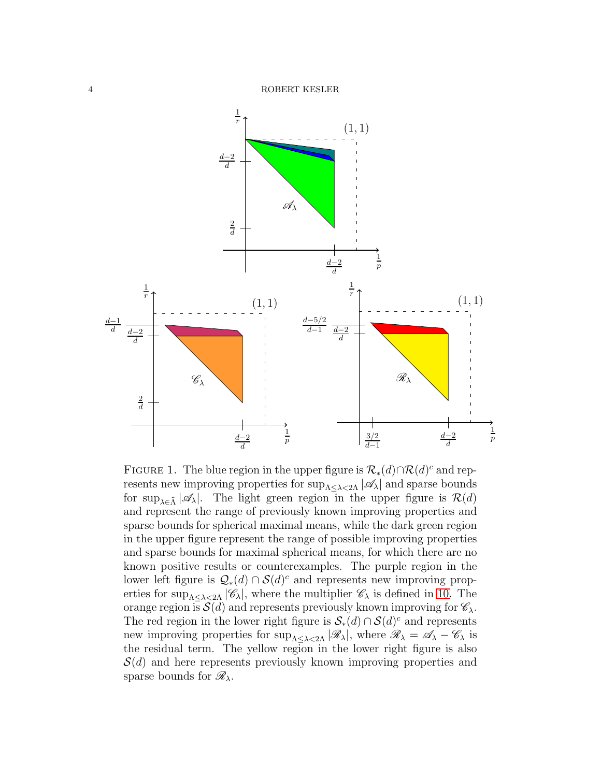

FIGURE 1. The blue region in the upper figure is  $\mathcal{R}_*(d) \cap \mathcal{R}(d)^c$  and represents new improving properties for  $\sup_{\Lambda \leq \lambda \leq 2\Lambda} |\mathscr{A}_{\lambda}|$  and sparse bounds for sup<sub> $\lambda \in \tilde{\Lambda}$ </sub> | $\mathscr{A}_{\lambda}$ . The light green region in the upper figure is  $\mathcal{R}(d)$ and represent the range of previously known improving properties and sparse bounds for spherical maximal means, while the dark green region in the upper figure represent the range of possible improving properties and sparse bounds for maximal spherical means, for which there are no known positive results or counterexamples. The purple region in the lower left figure is  $Q_*(d) \cap \mathcal{S}(d)^c$  and represents new improving properties for  $\sup_{\Lambda<\lambda<2\Lambda}|\mathscr{C}_{\lambda}|$ , where the multiplier  $\mathscr{C}_{\lambda}$  is defined in [10.](#page-6-1) The orange region is  $\mathcal{S}(d)$  and represents previously known improving for  $\mathcal{C}_{\lambda}$ . The red region in the lower right figure is  $S_*(d) \cap S(d)^c$  and represents new improving properties for  $\sup_{\Lambda \leq \lambda \leq 2\Lambda} |\mathcal{R}_{\lambda}|$ , where  $\mathcal{R}_{\lambda} = \mathcal{A}_{\lambda} - \mathcal{C}_{\lambda}$  is the residual term. The yellow region in the lower right figure is also  $\mathcal{S}(d)$  and here represents previously known improving properties and sparse bounds for  $\mathscr{R}_{\lambda}$ .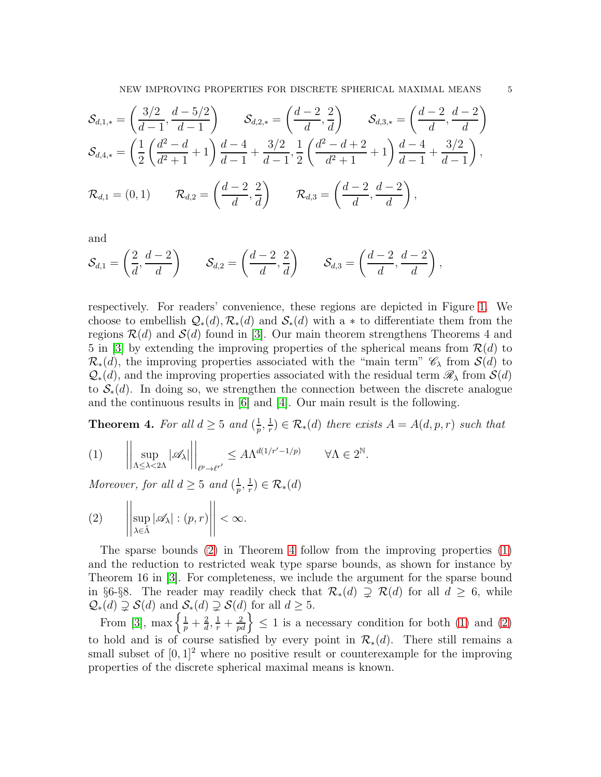$$
\mathcal{S}_{d,1,*} = \left(\frac{3/2}{d-1}, \frac{d-5/2}{d-1}\right) \qquad \mathcal{S}_{d,2,*} = \left(\frac{d-2}{d}, \frac{2}{d}\right) \qquad \mathcal{S}_{d,3,*} = \left(\frac{d-2}{d}, \frac{d-2}{d}\right)
$$
\n
$$
\mathcal{S}_{d,4,*} = \left(\frac{1}{2}\left(\frac{d^2-d}{d^2+1}+1\right)\frac{d-4}{d-1}+\frac{3/2}{d-1}, \frac{1}{2}\left(\frac{d^2-d+2}{d^2+1}+1\right)\frac{d-4}{d-1}+\frac{3/2}{d-1}\right),
$$
\n
$$
\mathcal{R}_{d,1} = (0,1) \qquad \mathcal{R}_{d,2} = \left(\frac{d-2}{d}, \frac{2}{d}\right) \qquad \mathcal{R}_{d,3} = \left(\frac{d-2}{d}, \frac{d-2}{d}\right),
$$

and

$$
\mathcal{S}_{d,1} = \left(\frac{2}{d},\frac{d-2}{d}\right) \qquad \mathcal{S}_{d,2} = \left(\frac{d-2}{d},\frac{2}{d}\right) \qquad \mathcal{S}_{d,3} = \left(\frac{d-2}{d},\frac{d-2}{d}\right),
$$

respectively. For readers' convenience, these regions are depicted in Figure [1.](#page-2-0) We choose to embellish  $Q_*(d), \mathcal{R}_*(d)$  and  $\mathcal{S}_*(d)$  with a  $*$  to differentiate them from the regions  $\mathcal{R}(d)$  and  $\mathcal{S}(d)$  found in [\[3\]](#page-24-1). Our main theorem strengthens Theorems 4 and 5 in [\[3\]](#page-24-1) by extending the improving properties of the spherical means from  $\mathcal{R}(d)$  to  $\mathcal{R}_{*}(d)$ , the improving properties associated with the "main term"  $\mathscr{C}_{\lambda}$  from  $\mathcal{S}(d)$  to  $\mathcal{Q}_*(d)$ , and the improving properties associated with the residual term  $\mathscr{R}_\lambda$  from  $\mathcal{S}(d)$ to  $\mathcal{S}_*(d)$ . In doing so, we strengthen the connection between the discrete analogue and the continuous results in [\[6\]](#page-24-3) and [\[4\]](#page-24-4). Our main result is the following.

<span id="page-4-1"></span>**Theorem 4.** For all  $d \geq 5$  and  $\left(\frac{1}{n}\right)$  $\frac{1}{p}, \frac{1}{r}$  $\mathcal{F}_r^{\{1\}} \in \mathcal{R}_{\ast}(d)$  there exists  $A = A(d, p, r)$  such that

<span id="page-4-2"></span>
$$
(1) \qquad \left| \left| \sup_{\Lambda \leq \lambda < 2\Lambda} |\mathscr{A}_{\lambda}| \right| \right|_{\ell^{p} \to \ell^{r'}} \leq A \Lambda^{d(1/r'-1/p)} \qquad \forall \Lambda \in 2^{\mathbb{N}}.
$$

Moreover, for all  $d \geq 5$  and  $\left(\frac{1}{n}\right)$  $\frac{1}{p},\frac{1}{r}$  $(\frac{1}{r}) \in \mathcal{R}_*(d)$ 

<span id="page-4-0"></span>
$$
(2) \qquad \left| \left| \sup_{\lambda \in \tilde{\Lambda}} |\mathscr{A}_{\lambda}| : (p, r) \right| \right| < \infty.
$$

The sparse bounds  $(2)$  in Theorem [4](#page-4-1) follow from the improving properties  $(1)$ and the reduction to restricted weak type sparse bounds, as shown for instance by Theorem 16 in [\[3\]](#page-24-1). For completeness, we include the argument for the sparse bound in §6-§8. The reader may readily check that  $\mathcal{R}_*(d) \supseteq \mathcal{R}(d)$  for all  $d \geq 6$ , while  $\mathcal{Q}_*(d) \supsetneq \mathcal{S}(d)$  and  $\mathcal{S}_*(d) \supsetneq \mathcal{S}(d)$  for all  $d \geq 5$ .

From [\[3\]](#page-24-1), max  $\left\{\frac{1}{p} + \frac{2}{d}\right\}$  $\left\{\frac{2}{a}, \frac{1}{r} + \frac{2}{pd}\right\} \leq 1$  is a necessary condition for both [\(1\)](#page-4-2) and [\(2\)](#page-4-0) to hold and is of course satisfied by every point in  $\mathcal{R}_{*}(d)$ . There still remains a small subset of  $[0, 1]^2$  where no positive result or counterexample for the improving properties of the discrete spherical maximal means is known.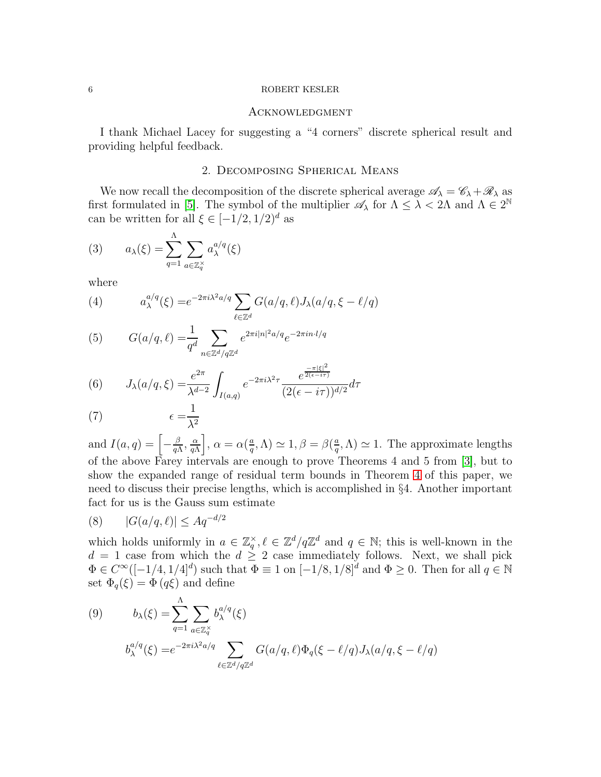#### <span id="page-5-0"></span>**ACKNOWLEDGMENT**

<span id="page-5-1"></span>I thank Michael Lacey for suggesting a "4 corners" discrete spherical result and providing helpful feedback.

## 2. Decomposing Spherical Means

We now recall the decomposition of the discrete spherical average  $\mathscr{A}_{\lambda} = \mathscr{C}_{\lambda} + \mathscr{R}_{\lambda}$  as first formulated in [\[5\]](#page-24-6). The symbol of the multiplier  $\mathscr{A}_{\lambda}$  for  $\Lambda \leq \lambda < 2\Lambda$  and  $\Lambda \in 2^{\mathbb{N}}$ can be written for all  $\xi \in [-1/2, 1/2]^d$  as

<span id="page-5-2"></span>(3) 
$$
a_{\lambda}(\xi) = \sum_{q=1}^{\Lambda} \sum_{a \in \mathbb{Z}_q^{\times}} a_{\lambda}^{a/q}(\xi)
$$

where

(4) 
$$
a_{\lambda}^{a/q}(\xi) = e^{-2\pi i \lambda^2 a/q} \sum_{\ell \in \mathbb{Z}^d} G(a/q, \ell) J_{\lambda}(a/q, \xi - \ell/q)
$$

(5) 
$$
G(a/q, \ell) = \frac{1}{q^d} \sum_{n \in \mathbb{Z}^d / q\mathbb{Z}^d} e^{2\pi i |n|^2 a/q} e^{-2\pi i n \cdot l / q}
$$

(6) 
$$
J_{\lambda}(a/q,\xi) = \frac{e^{2\pi}}{\lambda^{d-2}} \int_{I(a,q)} e^{-2\pi i \lambda^2 \tau} \frac{e^{\frac{-\pi |\xi|^2}{2(\epsilon - i\tau)}}}{(2(\epsilon - i\tau))^{d/2}} d\tau
$$

$$
(7) \qquad \epsilon = \frac{1}{\lambda^2}
$$

and  $I(a,q) = \left[-\frac{\beta}{a}\right]$  $\frac{\beta}{q\Lambda},\frac{\alpha}{q\Lambda}$  $q\Lambda$  $\bigg\}, \alpha = \alpha \big(\frac{a}{a}\bigg)$  $\frac{a}{q}, \Lambda \geq 1, \beta = \beta \left( \frac{a}{q} \right)$  $(\frac{a}{q}, \Lambda) \simeq 1$ . The approximate lengths of the above Farey intervals are enough to prove Theorems 4 and 5 from [\[3\]](#page-24-1), but to show the expanded range of residual term bounds in Theorem [4](#page-4-1) of this paper, we need to discuss their precise lengths, which is accomplished in §4. Another important fact for us is the Gauss sum estimate

<span id="page-5-4"></span>
$$
(8) \qquad |G(a/q, \ell)| \le Aq^{-d/2}
$$

which holds uniformly in  $a \in \mathbb{Z}_q^{\times}, \ell \in \mathbb{Z}^d/q\mathbb{Z}^d$  and  $q \in \mathbb{N}$ ; this is well-known in the  $d = 1$  case from which the  $d \geq 2$  case immediately follows. Next, we shall pick  $\Phi \in C^{\infty}([-1/4, 1/4]^d)$  such that  $\Phi \equiv 1$  on  $[-1/8, 1/8]^d$  and  $\Phi \ge 0$ . Then for all  $q \in \mathbb{N}$ set  $\Phi_q(\xi) = \Phi(q\xi)$  and define

<span id="page-5-3"></span>(9) 
$$
b_{\lambda}(\xi) = \sum_{q=1}^{\Lambda} \sum_{a \in \mathbb{Z}_q^{\times}} b_{\lambda}^{a/q}(\xi)
$$

$$
b_{\lambda}^{a/q}(\xi) = e^{-2\pi i \lambda^2 a/q} \sum_{\ell \in \mathbb{Z}^d/q\mathbb{Z}^d} G(a/q, \ell) \Phi_q(\xi - \ell/q) J_{\lambda}(a/q, \xi - \ell/q)
$$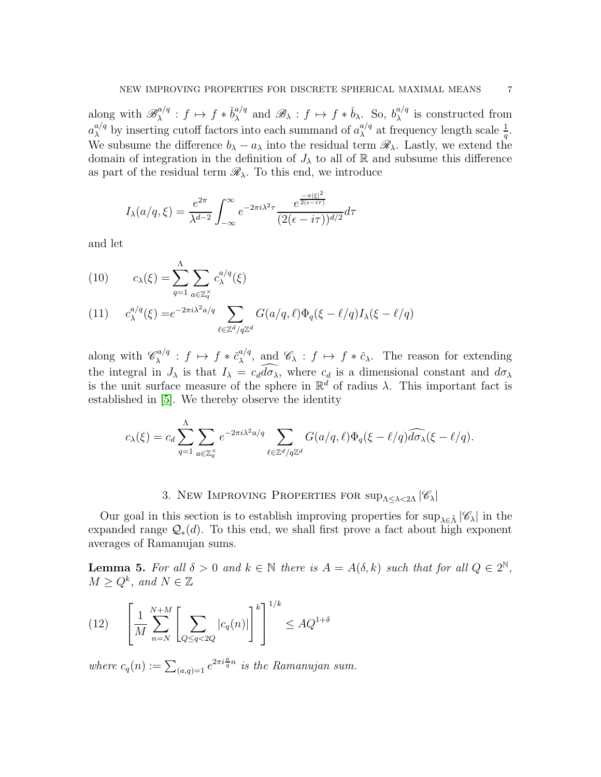along with  $\mathscr{B}_{\lambda}^{a/q}$  $x^{\alpha/q}$  :  $f \mapsto f * \check{b}^{\alpha/q}_\lambda$  $_{\lambda}^{a/q}$  and  $\mathscr{B}_{\lambda}$  :  $f \mapsto f * \check{b}_{\lambda}$ . So,  $b_{\lambda}^{a/q}$  $\lambda^{a/q}$  is constructed from  $a_{\lambda}^{a/q}$  by inserting cutoff factors into each summand of  $a_{\lambda}^{a/q}$  $\int_{\lambda}^{a/q}$  at frequency length scale  $\frac{1}{q}$ . We subsume the difference  $b_{\lambda} - a_{\lambda}$  into the residual term  $\mathscr{R}_{\lambda}$ . Lastly, we extend the domain of integration in the definition of  $J_{\lambda}$  to all of R and subsume this difference as part of the residual term  $\mathscr{R}_{\lambda}$ . To this end, we introduce

$$
I_{\lambda}(a/q,\xi) = \frac{e^{2\pi}}{\lambda^{d-2}} \int_{-\infty}^{\infty} e^{-2\pi i \lambda^2 \tau} \frac{e^{\frac{-\pi |\xi|^2}{2(\epsilon - i\tau)}}}{(2(\epsilon - i\tau))^{d/2}} d\tau
$$

and let

<span id="page-6-1"></span>(10) 
$$
c_{\lambda}(\xi) = \sum_{q=1}^{\Lambda} \sum_{a \in \mathbb{Z}_q^{\times}} c_{\lambda}^{a/q}(\xi)
$$

(11) 
$$
c_{\lambda}^{a/q}(\xi) = e^{-2\pi i \lambda^2 a/q} \sum_{\ell \in \mathbb{Z}^d/q\mathbb{Z}^d} G(a/q, \ell) \Phi_q(\xi - \ell/q) I_{\lambda}(\xi - \ell/q)
$$

along with  $\mathscr{C}_{\lambda}^{a/q}$  $\chi^{\alpha/q}$  :  $f \mapsto f * \check{c}_{\lambda}^{a/q}$  $\alpha_{\lambda}^{a/q}$ , and  $\mathscr{C}_{\lambda}$ :  $f \mapsto f * \check{c}_{\lambda}$ . The reason for extending the integral in  $J_{\lambda}$  is that  $I_{\lambda} = c_d \widehat{d\sigma_{\lambda}}$ , where  $c_d$  is a dimensional constant and  $d\sigma_{\lambda}$ is the unit surface measure of the sphere in  $\mathbb{R}^d$  of radius  $\lambda$ . This important fact is established in [\[5\]](#page-24-6). We thereby observe the identity

$$
c_{\lambda}(\xi) = c_d \sum_{q=1}^{\Lambda} \sum_{a \in \mathbb{Z}_q^{\times}} e^{-2\pi i \lambda^2 a/q} \sum_{\ell \in \mathbb{Z}^d / q\mathbb{Z}^d} G(a/q, \ell) \Phi_q(\xi - \ell/q) \widehat{d\sigma_{\lambda}}(\xi - \ell/q).
$$

# 3. New IMPROVING PROPERTIES FOR  $\sup_{\Lambda \leq \lambda \leq 2\Lambda} |\mathscr{C}_{\lambda}|$

<span id="page-6-0"></span>Our goal in this section is to establish improving properties for  $\sup_{\lambda \in \tilde{\Lambda}} |\mathscr{C}_{\lambda}|$  in the expanded range  $\mathcal{Q}_*(d)$ . To this end, we shall first prove a fact about high exponent averages of Ramanujan sums.

<span id="page-6-2"></span>**Lemma 5.** For all  $\delta > 0$  and  $k \in \mathbb{N}$  there is  $A = A(\delta, k)$  such that for all  $Q \in 2^{\mathbb{N}}$ ,  $M \geq Q^k$ , and  $N \in \mathbb{Z}$ 

(12) 
$$
\left[ \frac{1}{M} \sum_{n=N}^{N+M} \left[ \sum_{Q \le q < 2Q} |c_q(n)| \right]^k \right]^{1/k} \le A Q^{1+\delta}
$$

where  $c_q(n) := \sum_{(a,q)=1} e^{2\pi i \frac{a}{q}n}$  is the Ramanujan sum.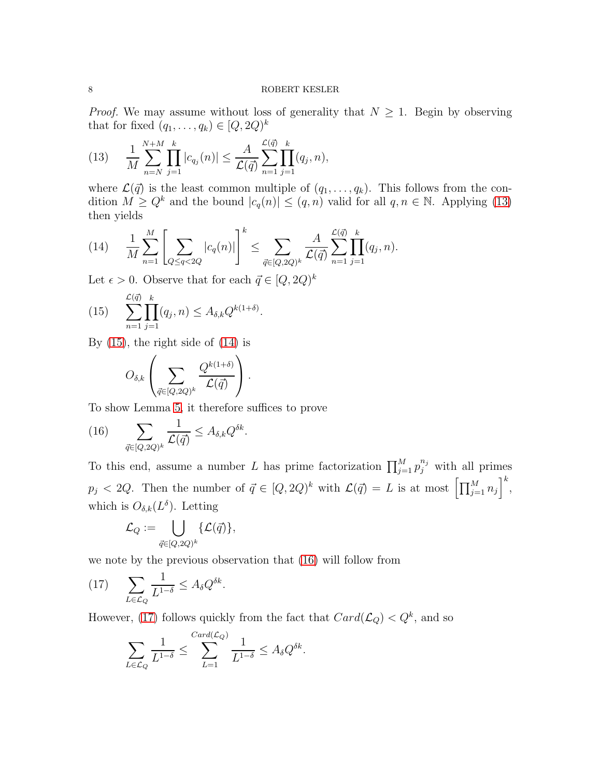*Proof.* We may assume without loss of generality that  $N \geq 1$ . Begin by observing that for fixed  $(q_1, \ldots, q_k) \in [Q, 2Q)^k$ 

<span id="page-7-0"></span>(13) 
$$
\frac{1}{M} \sum_{n=N}^{N+M} \prod_{j=1}^{k} |c_{q_j}(n)| \leq \frac{A}{\mathcal{L}(\vec{q})} \sum_{n=1}^{\mathcal{L}(\vec{q})} \prod_{j=1}^{k} (q_j, n),
$$

where  $\mathcal{L}(\vec{q})$  is the least common multiple of  $(q_1, \ldots, q_k)$ . This follows from the condition  $M \geq Q^k$  and the bound  $|c_q(n)| \leq (q, n)$  valid for all  $q, n \in \mathbb{N}$ . Applying [\(13\)](#page-7-0) then yields

<span id="page-7-2"></span>
$$
(14) \qquad \frac{1}{M} \sum_{n=1}^{M} \left[ \sum_{Q \leq q < 2Q} |c_q(n)| \right]^k \leq \sum_{\vec{q} \in [Q, 2Q)^k} \frac{A}{\mathcal{L}(\vec{q})} \sum_{n=1}^{\mathcal{L}(\vec{q})} \prod_{j=1}^k (q_j, n).
$$

Let  $\epsilon > 0$ . Observe that for each  $\vec{q} \in [Q, 2Q)^k$ 

<span id="page-7-1"></span>(15) 
$$
\sum_{n=1}^{\mathcal{L}(\vec{q})} \prod_{j=1}^{k} (q_j, n) \leq A_{\delta,k} Q^{k(1+\delta)}.
$$

By  $(15)$ , the right side of  $(14)$  is

$$
O_{\delta,k}\left(\sum_{\vec{q}\in [Q,2Q)^k}\frac{Q^{k(1+\delta)}}{\mathcal{L}(\vec{q})}\right).
$$

To show Lemma [5,](#page-6-2) it therefore suffices to prove

<span id="page-7-3"></span>(16) 
$$
\sum_{\vec{q}\in{[Q,2Q)^k}}\frac{1}{\mathcal{L}(\vec{q})}\leq A_{\delta,k}Q^{\delta k}.
$$

To this end, assume a number L has prime factorization  $\prod_{j=1}^{M} p_j^{n_j}$  with all primes  $p_j < 2Q$ . Then the number of  $\vec{q} \in [Q, 2Q)^k$  with  $\mathcal{L}(\vec{q}) = L$  is at most  $\left[\prod_{j=1}^M n_j\right]^k$ , which is  $O_{\delta,k}(L^{\delta})$ . Letting

$$
\mathcal{L}_Q:=\bigcup_{\vec{q}\in [Q,2Q)^k}\{\mathcal{L}(\vec{q})\},
$$

we note by the previous observation that [\(16\)](#page-7-3) will follow from

<span id="page-7-4"></span>(17) 
$$
\sum_{L \in \mathcal{L}_Q} \frac{1}{L^{1-\delta}} \leq A_\delta Q^{\delta k}.
$$

However, [\(17\)](#page-7-4) follows quickly from the fact that  $Card(\mathcal{L}_Q) < Q^k$ , and so

$$
\sum_{L\in\mathcal{L}_Q}\frac{1}{L^{1-\delta}}\leq \sum_{L=1}^{Card(\mathcal{L}_Q)}\frac{1}{L^{1-\delta}}\leq A_\delta Q^{\delta k}.
$$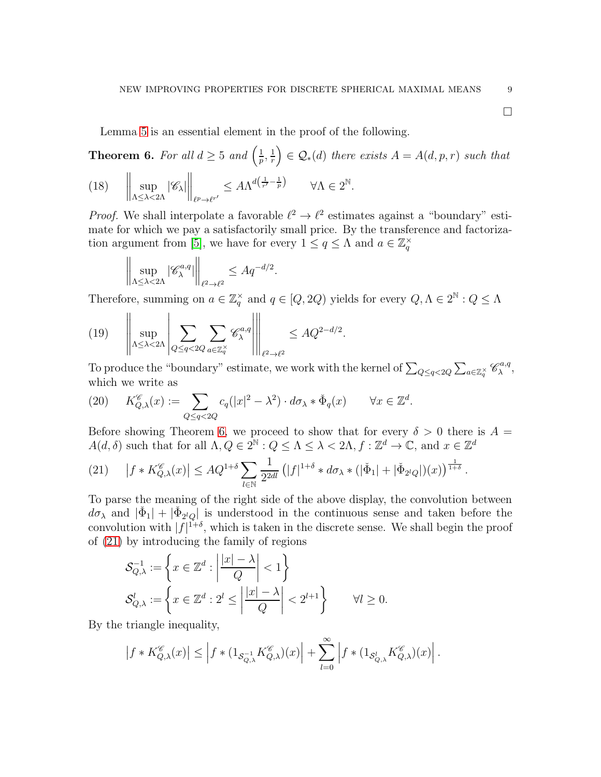$\Box$ 

Lemma [5](#page-6-2) is an essential element in the proof of the following.

<span id="page-8-4"></span><span id="page-8-0"></span>**Theorem 6.** For all  $d \geq 5$  and  $\left(\frac{1}{n}\right)$  $\frac{1}{p},\frac{1}{r}$ r  $\Big) \in \mathcal{Q}_*(d)$  there exists  $A = A(d, p, r)$  such that  $\begin{array}{c} \begin{array}{c} \begin{array}{c} \begin{array}{c} \end{array}\\ \end{array} \end{array} \end{array} \end{array}$ sup  $Λ \leq λ < 2Λ$  $|\mathscr{C}_{\lambda}|$  $\Big\|_{\ell^p \to \ell^{r'}}$ (18)  $\left\| \sup |\mathscr{C}_{\lambda}| \right\| \leq A \Lambda^{d\left(\frac{1}{r'} - \frac{1}{p}\right)} \quad \forall \Lambda \in 2^{\mathbb{N}}.$ 

*Proof.* We shall interpolate a favorable  $\ell^2 \to \ell^2$  estimates against a "boundary" estimate for which we pay a satisfactorily small price. By the transference and factoriza-tion argument from [\[5\]](#page-24-6), we have for every  $1 \le q \le \Lambda$  and  $a \in \mathbb{Z}_q^{\times}$ 

$$
\left\| \sup_{\Lambda \leq \lambda < 2\Lambda} |\mathscr{C}^{a,q}_{\lambda}| \right\|_{\ell^2 \to \ell^2} \leq A q^{-d/2}.
$$

Therefore, summing on  $a \in \mathbb{Z}_q^{\times}$  and  $q \in [Q, 2Q)$  yields for every  $Q, \Lambda \in 2^{\mathbb{N}} : Q \leq \Lambda$ 

<span id="page-8-3"></span>(19) 
$$
\left\| \sup_{\Lambda \leq \lambda < 2\Lambda} \left| \sum_{Q \leq q < 2Q} \sum_{a \in \mathbb{Z}_q^\times} \mathscr{C}_{\lambda}^{a,q} \right| \right\|_{\ell^2 \to \ell^2} \leq A Q^{2-d/2}.
$$

To produce the "boundary" estimate, we work with the kernel of  $\sum_{Q \leq q < 2Q} \sum_{a \in \mathbb{Z}_q^\times} \mathscr{C}_{\lambda}^{a,q}$  $_{\lambda}^{\triangledown a,q},$ which we write as

<span id="page-8-2"></span>(20) 
$$
K_{Q,\lambda}^{\mathscr{C}}(x) := \sum_{Q \leq q < 2Q} c_q (|x|^2 - \lambda^2) \cdot d\sigma_\lambda * \check{\Phi}_q(x) \qquad \forall x \in \mathbb{Z}^d.
$$

Before showing Theorem [6,](#page-8-0) we proceed to show that for every  $\delta > 0$  there is  $A =$  $A(d, \delta)$  such that for all  $\Lambda, Q \in 2^{\mathbb{N}}: Q \leq \Lambda \leq \lambda < 2\Lambda, f: \mathbb{Z}^d \to \mathbb{C}$ , and  $x \in \mathbb{Z}^d$ 

<span id="page-8-1"></span>
$$
(21) \quad |f * K_{Q,\lambda}^{\mathscr{C}}(x)| \le AQ^{1+\delta} \sum_{l \in \mathbb{N}} \frac{1}{2^{2dl}} \left( |f|^{1+\delta} * d\sigma_{\lambda} * (|\check{\Phi}_1| + |\check{\Phi}_{2^lQ}|)(x) \right)^{\frac{1}{1+\delta}}.
$$

To parse the meaning of the right side of the above display, the convolution between  $d\sigma_{\lambda}$  and  $|\check{\Phi}_1| + |\check{\Phi}_{2^lQ}|$  is understood in the continuous sense and taken before the convolution with  $|f|^{1+\delta}$ , which is taken in the discrete sense. We shall begin the proof of [\(21\)](#page-8-1) by introducing the family of regions

$$
\mathcal{S}_{Q,\lambda}^{-1} := \left\{ x \in \mathbb{Z}^d : \left| \frac{|x| - \lambda}{Q} \right| < 1 \right\} \n\mathcal{S}_{Q,\lambda}^l := \left\{ x \in \mathbb{Z}^d : 2^l \le \left| \frac{|x| - \lambda}{Q} \right| < 2^{l+1} \right\} \qquad \forall l \ge 0.
$$

By the triangle inequality,

$$
\left|f * K_{Q,\lambda}^{\mathscr C}(x)\right| \le \left|f * (1_{\mathcal S_{Q,\lambda}^{-1}} K_{Q,\lambda}^{\mathscr C})(x)\right| + \sum_{l=0}^{\infty} \left|f * (1_{\mathcal S_{Q,\lambda}^l} K_{Q,\lambda}^{\mathscr C})(x)\right|.
$$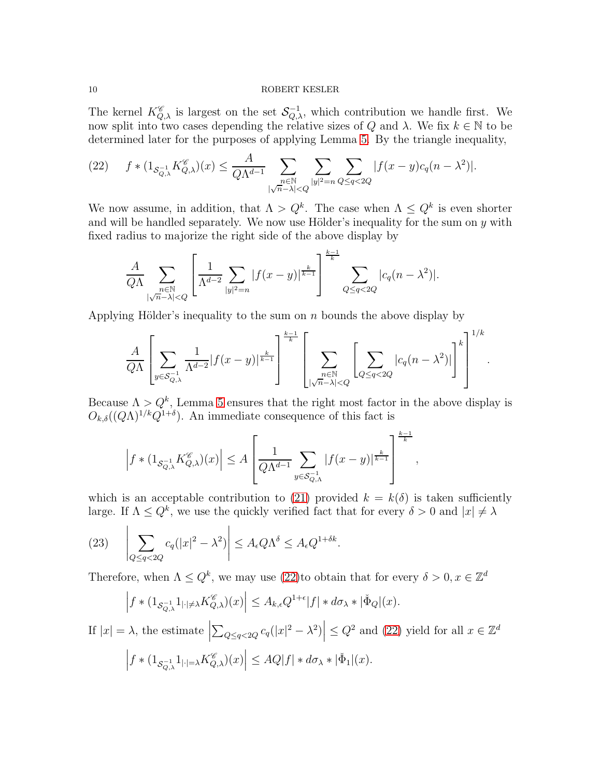The kernel  $K_{Q,\lambda}^{\mathscr{C}}$  is largest on the set  $\mathcal{S}_{Q,\lambda}^{-1}$ , which contribution we handle first. We now split into two cases depending the relative sizes of Q and  $\lambda$ . We fix  $k \in \mathbb{N}$  to be determined later for the purposes of applying Lemma [5.](#page-6-2) By the triangle inequality,

<span id="page-9-0"></span>
$$
(22) \qquad f * (1_{\mathcal{S}_{Q,\lambda}^{-1}} K_{Q,\lambda}^{\mathscr{C}})(x) \leq \frac{A}{Q\Lambda^{d-1}} \sum_{\substack{n \in \mathbb{N} \\ |\sqrt{n}-\lambda| < Q}} \sum_{|y|^2 = n} \sum_{Q \leq q < 2Q} |f(x-y)c_q(n-\lambda^2)|.
$$

We now assume, in addition, that  $\Lambda > Q^k$ . The case when  $\Lambda \leq Q^k$  is even shorter and will be handled separately. We now use Hölder's inequality for the sum on  $y$  with fixed radius to majorize the right side of the above display by

$$
\frac{A}{Q\Lambda} \sum_{\substack{n \in \mathbb{N} \\ |\sqrt{n}-\lambda| < Q}} \left[ \frac{1}{\Lambda^{d-2}} \sum_{|y|^2 = n} |f(x-y)|^{\frac{k}{k-1}} \right]^{\frac{k-1}{k}} \sum_{Q \le q < 2Q} |c_q(n-\lambda^2)|.
$$

Applying Hölder's inequality to the sum on  $n$  bounds the above display by

$$
\frac{A}{Q\Lambda} \left[ \sum_{y \in \mathcal{S}_{Q,\lambda}^{-1}} \frac{1}{\Lambda^{d-2}} |f(x-y)|^{\frac{k}{k-1}} \right]^{\frac{k-1}{k}} \left[ \sum_{\substack{n \in \mathbb{N} \\ |\sqrt{n}-\lambda| < Q}} \left[ \sum_{Q \le q < 2Q} |c_q(n-\lambda^2)| \right]^k \right]^{1/k}
$$

.

Because  $\Lambda > Q^k$ , Lemma [5](#page-6-2) ensures that the right most factor in the above display is  $O_{k,\delta}((Q\Lambda)^{1/k}Q^{1+\delta}).$  An immediate consequence of this fact is

$$
\left|f*(1_{\mathcal{S}_{Q,\lambda}^{-1}}K_{Q,\lambda}^{\mathscr{C}})(x)\right|\leq A\left[\frac{1}{Q\Lambda^{d-1}}\sum_{y\in\mathcal{S}_{Q,\Lambda}^{-1}}|f(x-y)|^{\frac{k}{k-1}}\right]^{\frac{k-1}{k}},
$$

which is an acceptable contribution to [\(21\)](#page-8-1) provided  $k = k(\delta)$  is taken sufficiently large. If  $\Lambda \leq Q^k$ , we use the quickly verified fact that for every  $\delta > 0$  and  $|x| \neq \lambda$ 

<span id="page-9-1"></span>(23) 
$$
\left| \sum_{Q \leq q < 2Q} c_q (|x|^2 - \lambda^2) \right| \leq A_{\epsilon} Q \Lambda^{\delta} \leq A_{\epsilon} Q^{1 + \delta k}.
$$

Therefore, when  $\Lambda \leq Q^k$ , we may use [\(22\)](#page-9-0)to obtain that for every  $\delta > 0, x \in \mathbb{Z}^d$ 

$$
\left| f * (1_{\mathcal{S}_{Q,\lambda}^{-1}} 1_{|\cdot | \neq \lambda} K_{Q,\lambda}^{\mathscr{C}})(x) \right| \leq A_{k,\epsilon} Q^{1+\epsilon} |f| * d\sigma_{\lambda} * |\check{\Phi}_{Q}|(x).
$$
  
If  $|x| = \lambda$ , the estimate  $\left| \sum_{Q \leq q < 2Q} c_q(|x|^2 - \lambda^2) \right| \leq Q^2$  and (22) yield for all  $x \in \mathbb{Z}^d$   

$$
\left| f * (1_{\mathcal{S}_{Q,\lambda}^{-1}} 1_{|\cdot | = \lambda} K_{Q,\lambda}^{\mathscr{C}})(x) \right| \leq AQ|f| * d\sigma_{\lambda} * |\check{\Phi}_{1}|(x).
$$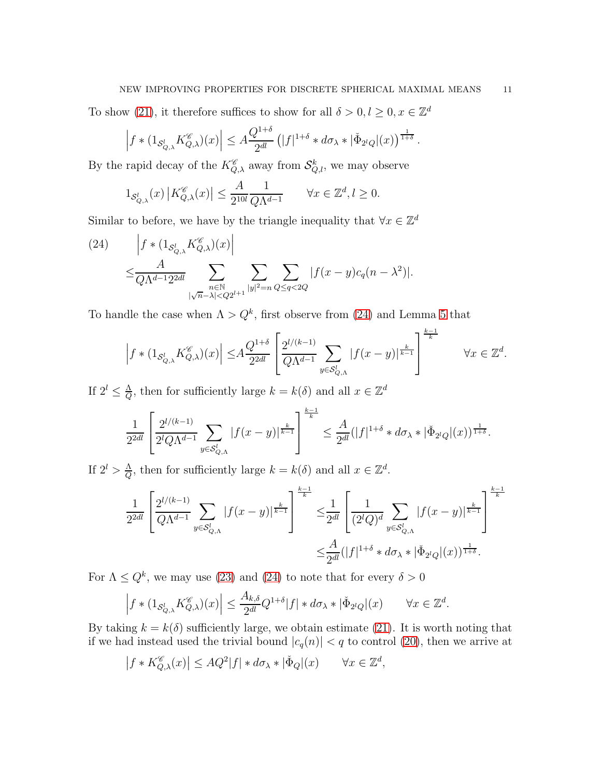# NEW IMPROVING PROPERTIES FOR DISCRETE SPHERICAL MAXIMAL MEANS 11

To show [\(21\)](#page-8-1), it therefore suffices to show for all  $\delta > 0, l \geq 0, x \in \mathbb{Z}^d$ 

$$
\left| f * (1_{\mathcal{S}_{Q,\lambda}^l} K_{Q,\lambda}^{\mathscr{C}})(x) \right| \leq A \frac{Q^{1+\delta}}{2^{dl}} \left( |f|^{1+\delta} * d\sigma_\lambda * |\check{\Phi}_{2^lQ}|(x) \right)^{\frac{1}{1+\delta}}.
$$

By the rapid decay of the  $K_{Q,\lambda}^{\mathscr{C}}$  away from  $\mathcal{S}_{Q,l}^{k}$ , we may observe

$$
1_{\mathcal{S}_{Q,\lambda}^l}(x) \left| K_{Q,\lambda}^{\mathscr{C}}(x) \right| \le \frac{A}{2^{10l}} \frac{1}{Q\Lambda^{d-1}} \qquad \forall x \in \mathbb{Z}^d, l \ge 0.
$$

Similar to before, we have by the triangle inequality that  $\forall x \in \mathbb{Z}^d$ 

<span id="page-10-0"></span>(24) 
$$
\left| f * (1_{\mathcal{S}_{Q,\lambda}^l} K_{Q,\lambda}^{\mathscr{C}})(x) \right|
$$
  
 
$$
\leq \frac{A}{Q\Lambda^{d-1} 2^{2dl}} \sum_{\substack{n \in \mathbb{N} \\ |\sqrt{n}-\lambda| < Q2^{l+1}}} \sum_{|y|^2 = n} \sum_{Q \leq q < 2Q} |f(x-y)c_q(n-\lambda^2)|.
$$

To handle the case when  $\Lambda > Q^k$ , first observe from [\(24\)](#page-10-0) and Lemma [5](#page-6-2) that

$$
\left|f\ast (1_{\mathcal{S}_{Q,\lambda}^{l}}K_{Q,\lambda}^{\mathscr{C}})(x)\right|\leq \hspace{-0.5ex} A\frac{Q^{1+\delta}}{2^{2dl}}\left[\frac{2^{l/(k-1)}}{Q\Lambda^{d-1}}\sum_{y\in \mathcal{S}_{Q,\Lambda}^{l}}\vert f(x-y)\vert^{\frac{k}{k-1}}\right]^{\frac{k-1}{k}} \qquad \forall x \in \mathbb{Z}^{d}.
$$

If  $2^l \leq \frac{\Lambda}{Q}$  $\frac{\Delta}{Q}$ , then for sufficiently large  $k = k(\delta)$  and all  $x \in \mathbb{Z}^d$ 

$$
\frac{1}{2^{2dl}}\left[\frac{2^{l/(k-1)}}{2^lQ\Lambda^{d-1}}\sum_{y\in S_{Q,\Lambda}^l}|f(x-y)|^{\frac{k}{k-1}}\right]^{\frac{k-1}{k}}\leq \frac{A}{2^{dl}}(|f|^{1+\delta}\ast d\sigma_{\lambda}\ast |\check{\Phi}_{2^lQ}|(x))^{\frac{1}{1+\delta}}.
$$

If  $2^l > \frac{\Lambda}{Q}$  $\frac{\Lambda}{Q}$ , then for sufficiently large  $k = k(\delta)$  and all  $x \in \mathbb{Z}^d$ .

$$
\frac{1}{2^{2dl}} \left[ \frac{2^{l/(k-1)}}{Q\Lambda^{d-1}} \sum_{y \in S_{Q,\Lambda}^l} |f(x-y)|^{\frac{k}{k-1}} \right]^{\frac{k-1}{k}} \leq \frac{1}{2^{dl}} \left[ \frac{1}{(2^lQ)^d} \sum_{y \in S_{Q,\Lambda}^l} |f(x-y)|^{\frac{k}{k-1}} \right]^{\frac{k-1}{k}}
$$

$$
\leq \frac{A}{2^{dl}} (|f|^{1+\delta} * d\sigma_\lambda * |\check{\Phi}_{2^lQ}|(x))^{\frac{1}{1+\delta}}.
$$

For  $\Lambda \leq Q^k$ , we may use [\(23\)](#page-9-1) and [\(24\)](#page-10-0) to note that for every  $\delta > 0$ 

$$
\left| f * (1_{\mathcal{S}_{Q,\lambda}^l} K_{Q,\lambda}^{\mathscr{C}})(x) \right| \le \frac{A_{k,\delta}}{2^{dl}} Q^{1+\delta} |f| * d\sigma_\lambda * |\check{\Phi}_{2^lQ}|(x) \qquad \forall x \in \mathbb{Z}^d.
$$

By taking  $k = k(\delta)$  sufficiently large, we obtain estimate [\(21\)](#page-8-1). It is worth noting that if we had instead used the trivial bound  $|c_q(n)| < q$  to control [\(20\)](#page-8-2), then we arrive at

$$
\left| f \ast K_{Q,\lambda}^{\mathscr{C}}(x) \right| \le A Q^2 |f| \ast d\sigma_\lambda \ast |\check{\Phi}_Q|(x) \qquad \forall x \in \mathbb{Z}^d,
$$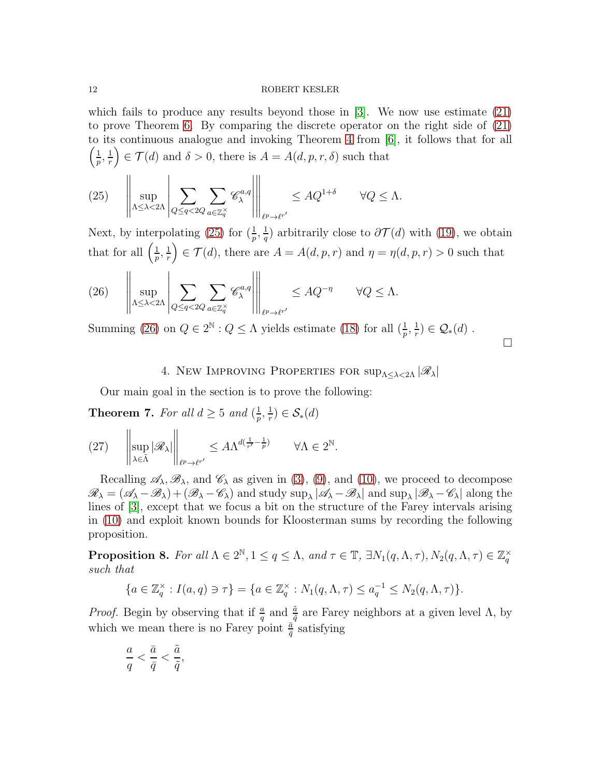which fails to produce any results beyond those in [\[3\]](#page-24-1). We now use estimate [\(21\)](#page-8-1) to prove Theorem [6.](#page-8-0) By comparing the discrete operator on the right side of [\(21\)](#page-8-1) to its continuous analogue and invoking Theorem [4](#page-4-1) from [\[6\]](#page-24-3), it follows that for all  $\sqrt{1}$  $\frac{1}{p}, \frac{1}{r}$ r  $\Big) \in \mathcal{T}(d)$  and  $\delta > 0$ , there is  $A = A(d, p, r, \delta)$  such that

<span id="page-11-1"></span>(25) 
$$
\left\| \sup_{\Lambda \leq \lambda < 2\Lambda} \left| \sum_{Q \leq q < 2Q} \sum_{a \in \mathbb{Z}_q^\times} \mathscr{C}_{\lambda}^{a,q} \right| \right\|_{\ell^p \to \ell^{r'}} \leq A Q^{1+\delta} \qquad \forall Q \leq \Lambda.
$$

Next, by interpolating [\(25\)](#page-11-1) for  $(\frac{1}{p}, \frac{1}{q})$  $\frac{1}{q}$ ) arbitrarily close to  $\partial \mathcal{T}(d)$  with [\(19\)](#page-8-3), we obtain that for all  $\left(\frac{1}{n}\right)$  $\frac{1}{p},\frac{1}{r}$ r  $\Big(\infty \subset \mathcal{T}(d),$  there are  $A = A(d, p, r)$  and  $\eta = \eta(d, p, r) > 0$  such that

<span id="page-11-2"></span>(26) 
$$
\left\| \sup_{\Lambda \leq \lambda < 2\Lambda} \left| \sum_{Q \leq q < 2Q} \sum_{a \in \mathbb{Z}_q^\times} \mathscr{C}_{\lambda}^{a,q} \right| \right\|_{\ell^p \to \ell^{r'}} \leq A Q^{-\eta} \qquad \forall Q \leq \Lambda.
$$

<span id="page-11-0"></span>Summing [\(26\)](#page-11-2) on  $Q \in 2^{\mathbb{N}} : Q \le \Lambda$  yields estimate [\(18\)](#page-8-4) for all  $(\frac{1}{p}, \frac{1}{r})$  $(\frac{1}{r}) \in \mathcal{Q}_*(d)$ .

$$
\qquad \qquad \Box
$$

# 4. New IMPROVING PROPERTIES FOR  $\sup_{\Lambda \leq \lambda \leq 2\Lambda} |\mathscr{R}_{\lambda}|$

Our main goal in the section is to prove the following:

<span id="page-11-3"></span>**Theorem 7.** For all  $d \geq 5$  and  $\left(\frac{1}{n}\right)$  $\frac{1}{p},\frac{1}{r}$  $(\frac{1}{r}) \in \mathcal{S}_{*}(d)$ 

$$
(27) \qquad \left\|\sup_{\lambda\in\tilde{\Lambda}}|\mathscr{R}_\lambda|\right\|_{\ell^p\to\ell^{r'}}\leq A\Lambda^{d(\frac{1}{r'}-\frac{1}{p})} \qquad \forall \Lambda\in 2^\mathbb{N}.
$$

Recalling  $\mathscr{A}_{\lambda}, \mathscr{B}_{\lambda}$ , and  $\mathscr{C}_{\lambda}$  as given in [\(3\)](#page-5-2), [\(9\)](#page-5-3), and [\(10\)](#page-6-1), we proceed to decompose  $\mathscr{R}_{\lambda} = (\mathscr{A}_{\lambda} - \mathscr{B}_{\lambda}) + (\mathscr{B}_{\lambda} - \mathscr{C}_{\lambda})$  and study  $\sup_{\lambda} |\mathscr{A}_{\lambda} - \mathscr{B}_{\lambda}|$  and  $\sup_{\lambda} |\mathscr{B}_{\lambda} - \mathscr{C}_{\lambda}|$  along the lines of [\[3\]](#page-24-1), except that we focus a bit on the structure of the Farey intervals arising in [\(10\)](#page-6-1) and exploit known bounds for Kloosterman sums by recording the following proposition.

**Proposition 8.** For all  $\Lambda \in 2^{\mathbb{N}}, 1 \le q \le \Lambda$ , and  $\tau \in \mathbb{T}$ ,  $\exists N_1(q, \Lambda, \tau), N_2(q, \Lambda, \tau) \in \mathbb{Z}_q^{\times}$ such that

$$
\{a \in \mathbb{Z}_q^{\times} : I(a,q) \ni \tau\} = \{a \in \mathbb{Z}_q^{\times} : N_1(q,\Lambda,\tau) \le a_q^{-1} \le N_2(q,\Lambda,\tau)\}.
$$

*Proof.* Begin by observing that if  $\frac{a}{q}$  and  $\frac{\tilde{a}}{\tilde{q}}$  are Farey neighbors at a given level  $\Lambda$ , by which we mean there is no Farey point  $\frac{\bar{a}}{\bar{q}}$  satisfying

$$
\frac{a}{q}<\frac{\bar{a}}{\bar{q}}<\frac{\tilde{a}}{\tilde{q}},
$$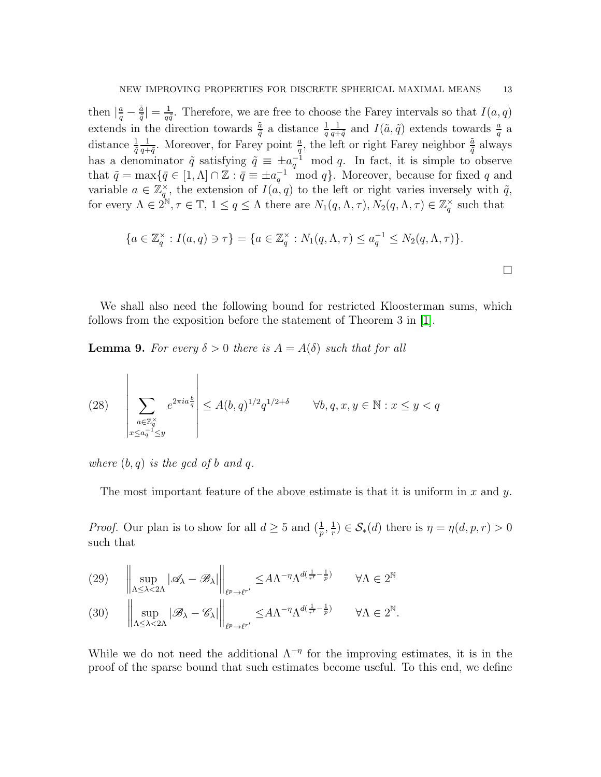then  $\left|\frac{a}{q}-\frac{\tilde{a}}{\tilde{q}}\right|$  $\frac{\tilde{a}}{\tilde{q}}\vert=\frac{1}{q\tilde{q}}$  $\frac{1}{q\tilde{q}}$ . Therefore, we are free to choose the Farey intervals so that  $I(a,q)$ extends in the direction towards  $\frac{\tilde{a}}{\tilde{q}}$  a distance  $\frac{1}{q}$ 1  $\frac{1}{q+\tilde{q}}$  and  $I(\tilde{a}, \tilde{q})$  extends towards  $\frac{a}{q}$  a distance  $\frac{1}{\tilde{q}}$ 1  $\frac{1}{q+\tilde{q}}$ . Moreover, for Farey point  $\frac{a}{q}$ , the left or right Farey neighbor  $\frac{\tilde{a}}{\tilde{q}}$  always has a denominator  $\tilde{q}$  satisfying  $\tilde{q} \equiv \pm a_q^{-1} \mod q$ . In fact, it is simple to observe that  $\tilde{q} = \max\{\bar{q} \in [1, \Lambda] \cap \mathbb{Z} : \bar{q} \equiv \pm a_q^{-1} \mod q\}$ . Moreover, because for fixed q and variable  $a \in \mathbb{Z}_q^{\times}$ , the extension of  $I(a,q)$  to the left or right varies inversely with  $\tilde{q}$ , for every  $\Lambda \in 2^{\mathbb{N}}, \tau \in \mathbb{T}, 1 \leq q \leq \Lambda$  there are  $N_1(q, \Lambda, \tau), N_2(q, \Lambda, \tau) \in \mathbb{Z}_q^{\times}$  such that

$$
\{a \in \mathbb{Z}_q^{\times} : I(a, q) \ni \tau\} = \{a \in \mathbb{Z}_q^{\times} : N_1(q, \Lambda, \tau) \le a_q^{-1} \le N_2(q, \Lambda, \tau)\}.
$$

We shall also need the following bound for restricted Kloosterman sums, which follows from the exposition before the statement of Theorem 3 in [\[1\]](#page-24-7).

<span id="page-12-3"></span>**Lemma 9.** For every  $\delta > 0$  there is  $A = A(\delta)$  such that for all

<span id="page-12-2"></span>(28) 
$$
\sum_{\substack{a \in \mathbb{Z}_q^{\times} \\ x \leq a_q^{-1} \leq y}} e^{2\pi i a \frac{b}{q}} \leq A(b, q)^{1/2} q^{1/2 + \delta} \qquad \forall b, q, x, y \in \mathbb{N} : x \leq y < q
$$

where  $(b, q)$  is the gcd of b and q.

The most important feature of the above estimate is that it is uniform in x and  $\gamma$ .

*Proof.* Our plan is to show for all  $d \geq 5$  and  $\left(\frac{1}{p}, \frac{1}{r}\right)$  $(\frac{1}{r}) \in \mathcal{S}_{*}(d)$  there is  $\eta = \eta(d, p, r) > 0$ such that

<span id="page-12-1"></span><span id="page-12-0"></span>(29) 
$$
\left\| \sup_{\Lambda \le \lambda < 2\Lambda} |\mathscr{A}_{\lambda} - \mathscr{B}_{\lambda}| \right\|_{\ell^{p} \to \ell^{r'}} \le A\Lambda^{-\eta} \Lambda^{d(\frac{1}{r'} - \frac{1}{p})} \quad \forall \Lambda \in 2^{\mathbb{N}}
$$
  
\n(30)  $\left\| \sup_{\Lambda \le \lambda < 2\Lambda} |\mathscr{B}_{\lambda} - \mathscr{C}_{\lambda}| \right\|_{\ell^{p} \to \ell^{r'}} \le A\Lambda^{-\eta} \Lambda^{d(\frac{1}{r'} - \frac{1}{p})} \quad \forall \Lambda \in 2^{\mathbb{N}}.$ 

While we do not need the additional  $\Lambda^{-\eta}$  for the improving estimates, it is in the proof of the sparse bound that such estimates become useful. To this end, we define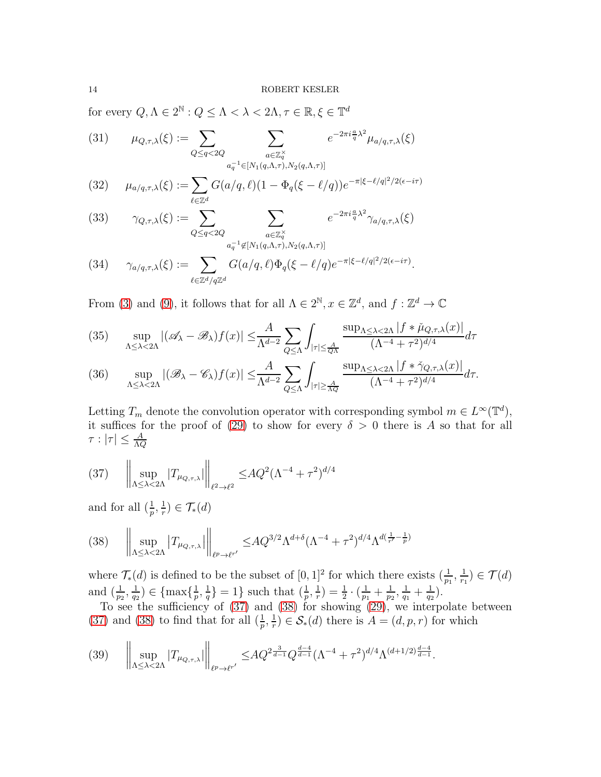for every  $Q, \Lambda \in 2^{\mathbb{N}}: Q \leq \Lambda < \lambda < 2\Lambda, \tau \in \mathbb{R}, \xi \in \mathbb{T}^d$ 

<span id="page-13-7"></span>(31) 
$$
\mu_{Q,\tau,\lambda}(\xi) := \sum_{Q \leq q < 2Q} \sum_{\substack{a \in \mathbb{Z}_q^\times \\ a_q^{-1} \in [N_1(q,\Lambda,\tau), N_2(q,\Lambda,\tau)]}} e^{-2\pi i \frac{a}{q} \lambda^2} \mu_{a/q,\tau,\lambda}(\xi)
$$

<span id="page-13-5"></span>(32) 
$$
\mu_{a/q,\tau,\lambda}(\xi) := \sum_{\ell \in \mathbb{Z}^d} G(a/q,\ell)(1 - \Phi_q(\xi - \ell/q))e^{-\pi|\xi - \ell/q|^2/2(\epsilon - i\tau)}
$$

<span id="page-13-8"></span>(33) 
$$
\gamma_{Q,\tau,\lambda}(\xi) := \sum_{Q \leq q < 2Q} \sum_{\substack{a \in \mathbb{Z}_q^\times \\ a_q^{-1} \notin [N_1(q,\Lambda,\tau),N_2(q,\Lambda,\tau)]}} e^{-2\pi i \frac{a}{q} \lambda^2} \gamma_{a/q,\tau,\lambda}(\xi)
$$

<span id="page-13-6"></span>(34) 
$$
\gamma_{a/q,\tau,\lambda}(\xi) := \sum_{\ell \in \mathbb{Z}^d/q\mathbb{Z}^d} G(a/q,\ell) \Phi_q(\xi - \ell/q) e^{-\pi |\xi - \ell/q|^2/2(\epsilon - i\tau)}.
$$

From [\(3\)](#page-5-2) and [\(9\)](#page-5-3), it follows that for all  $\Lambda \in 2^{\mathbb{N}}, x \in \mathbb{Z}^d$ , and  $f : \mathbb{Z}^d \to \mathbb{C}$ 

<span id="page-13-2"></span>(35) 
$$
\sup_{\Lambda \leq \lambda < 2\Lambda} |(\mathscr{A}_\lambda - \mathscr{B}_\lambda)f(x)| \leq \frac{A}{\Lambda^{d-2}} \sum_{Q \leq \Lambda} \int_{|\tau| \leq \frac{A}{Q\Lambda}} \frac{\sup_{\Lambda \leq \lambda < 2\Lambda} |f * \check{\mu}_{Q,\tau,\lambda}(x)|}{(\Lambda^{-4} + \tau^2)^{d/4}} d\tau
$$

<span id="page-13-4"></span>
$$
(36)\quad \sup_{\Lambda\leq\lambda<2\Lambda}|(\mathscr{B}_{\lambda}-\mathscr{C}_{\lambda})f(x)|\leq\frac{A}{\Lambda^{d-2}}\sum_{Q\leq\Lambda}\int_{|\tau|\geq\frac{A}{\Lambda Q}}\frac{\sup_{\Lambda\leq\lambda<2\Lambda}|f*\check{\gamma}_{Q,\tau,\lambda}(x)|}{(\Lambda^{-4}+\tau^2)^{d/4}}d\tau.
$$

Letting  $T_m$  denote the convolution operator with corresponding symbol  $m \in L^{\infty}(\mathbb{T}^d)$ , it suffices for the proof of [\(29\)](#page-12-0) to show for every  $\delta > 0$  there is A so that for all  $\tau:|\tau|\leq\frac{A}{\Lambda Q}$ 

<span id="page-13-0"></span>(37) 
$$
\left\| \sup_{\Lambda \leq \lambda < 2\Lambda} |T_{\mu_{Q,\tau,\lambda}}| \right\|_{\ell^2 \to \ell^2} \leq AQ^2 (\Lambda^{-4} + \tau^2)^{d/4}
$$

and for all  $(\frac{1}{p}, \frac{1}{r})$  $(\frac{1}{r}) \in \mathcal{T}_{*}(d)$ 

<span id="page-13-1"></span>
$$
(38) \quad \left\| \sup_{\Lambda \leq \lambda < 2\Lambda} \left| T_{\mu_{Q,\tau,\lambda}} \right| \right\|_{\ell^p \to \ell^{r'}} \leq A Q^{3/2} \Lambda^{d+\delta} (\Lambda^{-4} + \tau^2)^{d/4} \Lambda^{d(\frac{1}{r'} - \frac{1}{p})}
$$

where  $\mathcal{T}_{*}(d)$  is defined to be the subset of  $[0, 1]^{2}$  for which there exists  $(\frac{1}{p_{1}}, \frac{1}{r_{1}})$  $(\frac{1}{r_1}) \in \mathcal{T}(d)$ and  $\left(\frac{1}{p_2},\frac{1}{q_2}\right)$  $\frac{1}{q_2}$ )  $\in \{\max\{\frac{1}{p}\}$  $\frac{1}{p},\frac{1}{q}$  $\left\{\frac{1}{q}\right\} = 1$ } such that  $\left(\frac{1}{p}, \frac{1}{r}\right)$  $(\frac{1}{r})=\frac{1}{2}\cdot(\frac{1}{p_1}% -1)\cdot\frac{1}{2}$  $\frac{1}{p_1} + \frac{1}{p_2}$  $\frac{1}{p_2}, \frac{1}{q_1}$  $\frac{1}{q_1} + \frac{1}{q_2}$  $\frac{1}{q_2}$ .

To see the sufficiency of [\(37\)](#page-13-0) and [\(38\)](#page-13-1) for showing [\(29\)](#page-12-0), we interpolate between [\(37\)](#page-13-0) and [\(38\)](#page-13-1) to find that for all  $(\frac{1}{p}, \frac{1}{r})$  $(\frac{1}{r}) \in \mathcal{S}_{*}(d)$  there is  $A = (d, p, r)$  for which

<span id="page-13-3"></span>
$$
(39) \quad \left\| \sup_{\Lambda \leq \lambda < 2\Lambda} |T_{\mu_{Q,\tau,\lambda}}| \right\|_{\ell^{p} \to \ell^{r'}} \leq A Q^{2\frac{3}{d-1}} Q^{\frac{d-4}{d-1}} (\Lambda^{-4} + \tau^{2})^{d/4} \Lambda^{(d+1/2)\frac{d-4}{d-1}}.
$$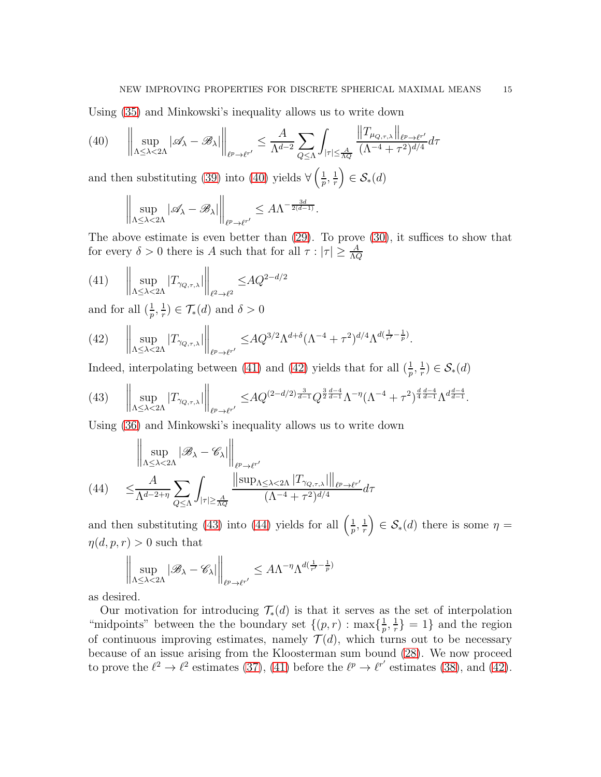Using [\(35\)](#page-13-2) and Minkowski's inequality allows us to write down

<span id="page-14-0"></span>
$$
(40) \qquad \left\| \sup_{\Lambda \leq \lambda < 2\Lambda} |\mathscr{A}_{\lambda} - \mathscr{B}_{\lambda}| \right\|_{\ell^{p} \to \ell^{r'}} \leq \frac{A}{\Lambda^{d-2}} \sum_{Q \leq \Lambda} \int_{|\tau| \leq \frac{A}{\Lambda Q}} \frac{\left\| T_{\mu_{Q,\tau,\lambda}} \right\|_{\ell^{p} \to \ell^{r'}}}{(\Lambda^{-4} + \tau^{2})^{d/4}} d\tau
$$

and then substituting [\(39\)](#page-13-3) into [\(40\)](#page-14-0) yields  $\forall \left(\frac{1}{n}\right)$  $\frac{1}{p}, \frac{1}{r}$ r  $\Big) \in \mathcal{S}_{*}(d)$ 

$$
\bigg\|\sup_{\Lambda\leq \lambda < 2\Lambda}|\mathscr{A}_\lambda-\mathscr{B}_\lambda| \bigg\|_{\ell^p\to \ell^{r'}}\leq A\Lambda^{-\frac{3d}{2(d-1)}}.
$$

The above estimate is even better than [\(29\)](#page-12-0). To prove [\(30\)](#page-12-1), it suffices to show that for every  $\delta > 0$  there is A such that for all  $\tau : |\tau| \geq \frac{A}{\Lambda Q}$ 

<span id="page-14-1"></span>(41) 
$$
\left\| \sup_{\Lambda \leq \lambda < 2\Lambda} |T_{\gamma_{Q,\tau,\lambda}}| \right\|_{\ell^2 \to \ell^2} \leq AQ^{2-d/2}
$$

and for all  $(\frac{1}{p}, \frac{1}{r})$  $(\frac{1}{r}) \in \mathcal{T}_{*}(d)$  and  $\delta > 0$ 

<span id="page-14-2"></span>(42) 
$$
\left\| \sup_{\Lambda \leq \lambda < 2\Lambda} |T_{\gamma_{Q,\tau,\lambda}}| \right\|_{\ell^{p} \to \ell^{r'}} \leq A Q^{3/2} \Lambda^{d+\delta} (\Lambda^{-4} + \tau^{2})^{d/4} \Lambda^{d(\frac{1}{r'} - \frac{1}{p})}.
$$

Indeed, interpolating between [\(41\)](#page-14-1) and [\(42\)](#page-14-2) yields that for all  $(\frac{1}{p}, \frac{1}{r})$  $(\frac{1}{r}) \in \mathcal{S}_{*}(d)$ 

<span id="page-14-3"></span>(43) 
$$
\left\| \sup_{\Lambda \leq \lambda < 2\Lambda} |T_{\gamma_{Q,\tau,\lambda}}| \right\|_{\ell^{p} \to \ell^{r'}} \leq A Q^{(2-d/2) \frac{3}{d-1}} Q^{\frac{3}{2} \frac{d-4}{d-1}} \Lambda^{-\eta} (\Lambda^{-4} + \tau^{2})^{\frac{d}{4} \frac{d-4}{d-1}} \Lambda^{d \frac{d-4}{d-1}}.
$$

Using [\(36\)](#page-13-4) and Minkowski's inequality allows us to write down

$$
(44) \quad \leq \frac{A}{\Lambda^{d-2+\eta}} \sum_{Q \leq \Lambda} \int_{|\tau| \geq \frac{A}{\Lambda Q}} \frac{\left\| \sup_{\ell^{p} \to \ell^{r'}}}{(\Lambda^{-4} + \tau^{2})^{d/4}} d\tau
$$

<span id="page-14-4"></span>and then substituting [\(43\)](#page-14-3) into [\(44\)](#page-14-4) yields for all  $\left(\frac{1}{n}\right)$  $\frac{1}{p}, \frac{1}{r}$ r  $\Big) \in \mathcal{S}_{*}(d)$  there is some  $\eta =$  $\eta(d, p, r) > 0$  such that

$$
\bigg\|\sup_{\Lambda\leq \lambda < 2\Lambda}|\mathscr B_\lambda-\mathscr C_\lambda|\bigg\|_{\ell^p\to\ell^{r'}}\leq A\Lambda^{-\eta}\Lambda^{d(\frac{1}{r'}-\frac{1}{p})}
$$

as desired.

Our motivation for introducing  $\mathcal{T}_{*}(d)$  is that it serves as the set of interpolation "midpoints" between the the boundary set  $\{(p, r) : \max\{\frac{1}{n}\}$  $\frac{1}{p},\frac{1}{r}$  $\left\{\frac{1}{r}\right\} = 1$ } and the region of continuous improving estimates, namely  $\mathcal{T}(d)$ , which turns out to be necessary because of an issue arising from the Kloosterman sum bound [\(28\)](#page-12-2). We now proceed to prove the  $\ell^2 \to \ell^2$  estimates [\(37\)](#page-13-0), [\(41\)](#page-14-1) before the  $\ell^p \to \ell^{r'}$  estimates [\(38\)](#page-13-1), and [\(42\)](#page-14-2).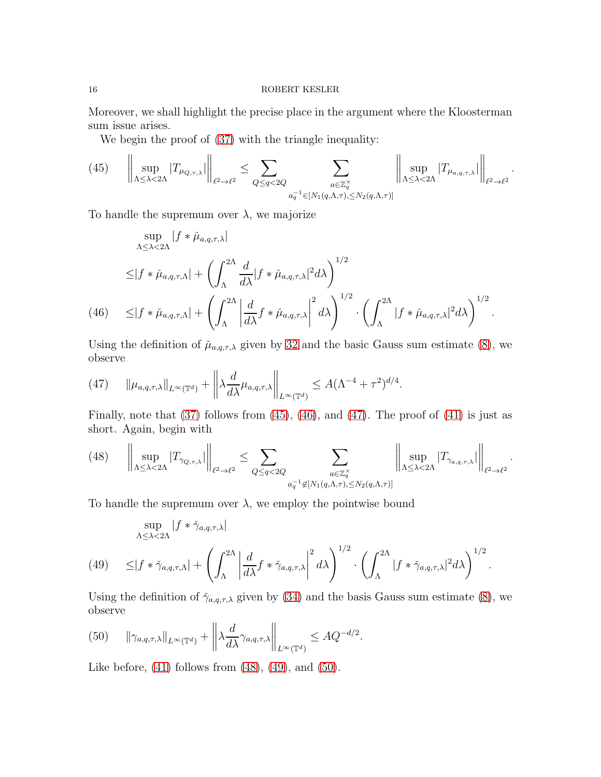Moreover, we shall highlight the precise place in the argument where the Kloosterman sum issue arises.

We begin the proof of [\(37\)](#page-13-0) with the triangle inequality:

<span id="page-15-0"></span>
$$
(45) \qquad \left\|\sup_{\Lambda\leq\lambda<2\Lambda}|T_{\mu_{Q,\tau,\lambda}}|\right\|_{\ell^2\to\ell^2}\leq\sum_{Q\leq q<2Q}\sum_{\substack{a\in\mathbb{Z}_q^\times\\ a_q^{-1}\in[N_1(q,\Lambda,\tau),\leq N_2(q,\Lambda,\tau)]}}\left\|\sup_{\Lambda\leq\lambda<2\Lambda}|T_{\mu_{a,q,\tau,\lambda}}|\right\|_{\ell^2\to\ell^2}.
$$

To handle the supremum over  $\lambda$ , we majorize

$$
\sup_{\Lambda \leq \lambda < 2\Lambda} |f * \check{\mu}_{a,q,\tau,\lambda}|
$$
\n
$$
\leq |f * \check{\mu}_{a,q,\tau,\Lambda}| + \left( \int_{\Lambda}^{2\Lambda} \frac{d}{d\lambda} |f * \check{\mu}_{a,q,\tau,\lambda}|^2 d\lambda \right)^{1/2}
$$
\n
$$
(46) \quad \leq |f * \check{\mu}_{a,q,\tau,\Lambda}| + \left( \int_{\Lambda}^{2\Lambda} \left| \frac{d}{d\lambda} f * \check{\mu}_{a,q,\tau,\lambda} \right|^2 d\lambda \right)^{1/2} \cdot \left( \int_{\Lambda}^{2\Lambda} |f * \check{\mu}_{a,q,\tau,\lambda}|^2 d\lambda \right)^{1/2}.
$$

<span id="page-15-1"></span>Using the definition of  $\mu_{a,q,\tau,\lambda}$  given by [32](#page-13-5) and the basic Gauss sum estimate [\(8\)](#page-5-4), we observe

<span id="page-15-2"></span>(47) 
$$
\|\mu_{a,q,\tau,\lambda}\|_{L^{\infty}(\mathbb{T}^d)} + \left\|\lambda \frac{d}{d\lambda} \mu_{a,q,\tau,\lambda}\right\|_{L^{\infty}(\mathbb{T}^d)} \leq A(\Lambda^{-4} + \tau^2)^{d/4}.
$$

Finally, note that  $(37)$  follows from  $(45)$ ,  $(46)$ , and  $(47)$ . The proof of  $(41)$  is just as short. Again, begin with

<span id="page-15-3"></span>(48) 
$$
\left\|\sup_{\Lambda\leq\lambda<2\Lambda}|T_{\gamma_{Q,\tau,\lambda}}|\right\|_{\ell^2\to\ell^2}\leq\sum_{Q\leq q<2Q}\sum_{\substack{a\in\mathbb{Z}_q^\times\\ a_q^{-1}\notin[N_1(q,\Lambda,\tau),\leq N_2(q,\Lambda,\tau)]}}\left\|\sup_{\Lambda\leq\lambda<2\Lambda}|T_{\gamma_{a,q,\tau,\lambda}}|\right\|_{\ell^2\to\ell^2}.
$$

To handle the supremum over  $\lambda$ , we employ the pointwise bound

$$
\sup_{\Lambda \leq \lambda < 2\Lambda} |f * \check{\gamma}_{a,q,\tau,\lambda}|
$$
\n
$$
(49) \leq |f * \check{\gamma}_{a,q,\tau,\Lambda}| + \left(\int_{\Lambda}^{2\Lambda} \left|\frac{d}{d\lambda} f * \check{\gamma}_{a,q,\tau,\lambda}\right|^2 d\lambda\right)^{1/2} \cdot \left(\int_{\Lambda}^{2\Lambda} |f * \check{\gamma}_{a,q,\tau,\lambda}|^2 d\lambda\right)^{1/2}.
$$

<span id="page-15-4"></span>Using the definition of  $\check{\gamma}_{a,q,\tau,\lambda}$  given by [\(34\)](#page-13-6) and the basis Gauss sum estimate [\(8\)](#page-5-4), we observe

<span id="page-15-5"></span>(50) 
$$
\|\gamma_{a,q,\tau,\lambda}\|_{L^{\infty}(\mathbb{T}^d)} + \left\|\lambda \frac{d}{d\lambda} \gamma_{a,q,\tau,\lambda}\right\|_{L^{\infty}(\mathbb{T}^d)} \leq A Q^{-d/2}.
$$

Like before,  $(41)$  follows from  $(48)$ ,  $(49)$ , and  $(50)$ .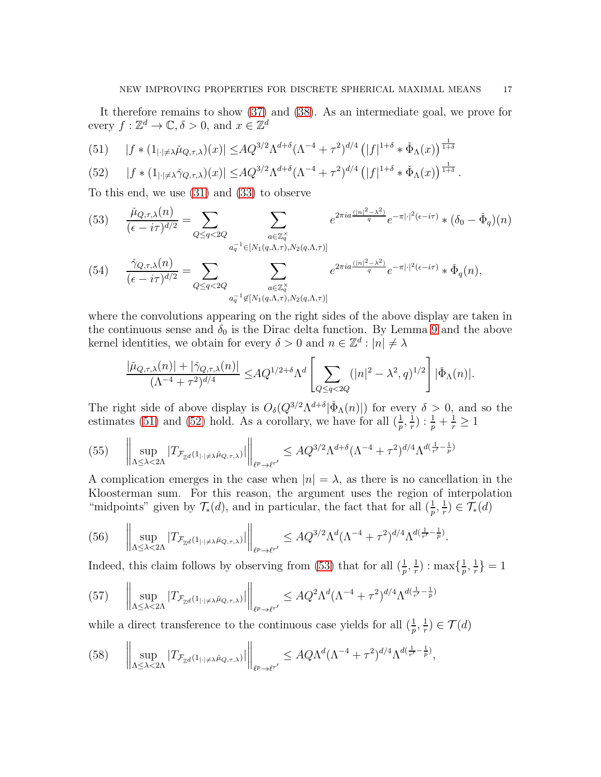It therefore remains to show [\(37\)](#page-13-0) and [\(38\)](#page-13-1). As an intermediate goal, we prove for every  $f: \mathbb{Z}^d \to \mathbb{C}, \delta > 0$ , and  $x \in \mathbb{Z}^d$ 

<span id="page-16-0"></span>(51) 
$$
|f * (1_{|\cdot| \neq \lambda} \check{\mu}_{Q,\tau,\lambda})(x)| \leq AQ^{3/2} \Lambda^{d+\delta} (\Lambda^{-4} + \tau^2)^{d/4} (|f|^{1+\delta} * \check{\Phi}_{\Lambda}(x))^{\frac{1}{1+\delta}}
$$

<span id="page-16-1"></span>(52) 
$$
|f * (1_{|\cdot| \neq \lambda} \check{\gamma}_{Q,\tau,\lambda})(x)| \leq A Q^{3/2} \Lambda^{d+\delta} (\Lambda^{-4} + \tau^2)^{d/4} (|f|^{1+\delta} * \check{\Phi}_{\Lambda}(x))^{\frac{1}{1+\delta}}.
$$

To this end, we use [\(31\)](#page-13-7) and [\(33\)](#page-13-8) to observe

<span id="page-16-2"></span>(53) 
$$
\frac{\tilde{\mu}_{Q,\tau,\lambda}(n)}{(\epsilon - i\tau)^{d/2}} = \sum_{Q \leq q < 2Q} \sum_{\substack{a \in \mathbb{Z}_q^\times \\ a_q^{-1} \in [N_1(q,\Lambda,\tau),N_2(q,\Lambda,\tau)]}} e^{2\pi i a \frac{(|n|^2 - \lambda^2)}{q}} e^{-\pi |\cdot|^2 (\epsilon - i\tau)} \ast (\delta_0 - \check{\Phi}_q)(n)
$$
\n(54) 
$$
\frac{\check{\gamma}_{Q,\tau,\lambda}(n)}{(\epsilon - i\tau)^{d/2}} = \sum_{Q \leq q < 2Q} \sum_{\substack{a \in \mathbb{Z}_q^\times \\ a_q^{-1} \notin [N_1(q,\Lambda,\tau),N_2(q,\Lambda,\tau)]}} e^{2\pi i a \frac{(|n|^2 - \lambda^2)}{q}} e^{-\pi |\cdot|^2 (\epsilon - i\tau)} \ast \check{\Phi}_q(n),
$$

where the convolutions appearing on the right sides of the above display are taken in the continuous sense and  $\delta_0$  is the Dirac delta function. By Lemma [9](#page-12-3) and the above kernel identities, we obtain for every  $\delta > 0$  and  $n \in \mathbb{Z}^d : |n| \neq \lambda$ 

$$
\frac{|\check{\mu}_{Q,\tau,\lambda}(n)|+|\check{\gamma}_{Q,\tau,\lambda}(n)|}{(\Lambda^{-4}+\tau^2)^{d/4}}\leq\!AQ^{1/2+\delta}\Lambda^d\left[\sum_{Q\leq q<2Q}(|n|^2-\lambda^2,q)^{1/2}\right]|\check{\Phi}_\Lambda(n)|.
$$

The right side of above display is  $O_{\delta}(Q^{3/2}\Lambda^{d+\delta}|\check{\Phi}_{\Lambda}(n)|)$  for every  $\delta > 0$ , and so the estimates [\(51\)](#page-16-0) and [\(52\)](#page-16-1) hold. As a corollary, we have for all  $(\frac{1}{p}, \frac{1}{r})$  $\frac{1}{r}) : \frac{1}{p} + \frac{1}{r} \geq 1$ 

<span id="page-16-6"></span>
$$
(55) \qquad \left\| \sup_{\Lambda \leq \lambda < 2\Lambda} |T_{\mathcal{F}_{\mathbb{Z}^d}(1_{|\cdot| \neq \lambda \check{\mu}_{Q,\tau,\lambda})}|} \right\|_{\ell^p \to \ell^{r'}} \leq A Q^{3/2} \Lambda^{d+\delta} (\Lambda^{-4} + \tau^2)^{d/4} \Lambda^{d(\frac{1}{r'} - \frac{1}{p})}
$$

A complication emerges in the case when  $|n| = \lambda$ , as there is no cancellation in the Kloosterman sum. For this reason, the argument uses the region of interpolation "midpoints" given by  $\mathcal{T}_{*}(d)$ , and in particular, the fact that for all  $(\frac{1}{p}, \frac{1}{r})$  $(\frac{1}{r}) \in \mathcal{T}_{*}(d)$ 

<span id="page-16-5"></span>
$$
(56) \qquad \left\|\sup_{\Lambda\leq\lambda<2\Lambda}|T_{\mathcal{F}_{\mathbb{Z}^d}(1_{|\cdot|\neq\lambda}\check{\mu}_{Q,\tau,\lambda})}|\right\|_{\ell^p\to\ell^{r'}}\leq AQ^{3/2}\Lambda^d(\Lambda^{-4}+\tau^2)^{d/4}\Lambda^{d(\frac{1}{r'}-\frac{1}{p})}.
$$

Indeed, this claim follows by observing from [\(53\)](#page-16-2) that for all  $(\frac{1}{p}, \frac{1}{r})$  $(\frac{1}{r})$  : max $\{\frac{1}{p}\}$  $\frac{1}{p},\frac{1}{r}$  $\frac{1}{r}$ } = 1

<span id="page-16-3"></span>
$$
(57) \qquad \left\| \sup_{\Lambda \leq \lambda < 2\Lambda} |T_{\mathcal{F}_{\mathbb{Z}^d}(1_{|\cdot| \neq \lambda} \check{\mu}_{Q,\tau,\lambda})}| \right\|_{\ell^{p} \to \ell^{r'}} \leq A Q^2 \Lambda^d (\Lambda^{-4} + \tau^2)^{d/4} \Lambda^{d(\frac{1}{r'} - \frac{1}{p})}
$$

while a direct transference to the continuous case yields for all  $(\frac{1}{p}, \frac{1}{r})$  $(\frac{1}{r}) \in \mathcal{T}(d)$ 

<span id="page-16-4"></span>
$$
(58) \quad \left\| \sup_{\Lambda \leq \lambda < 2\Lambda} |T_{\mathcal{F}_{\mathbb{Z}^d}(1_{|\cdot| \neq \lambda} \check{\mu}_{Q,\tau,\lambda})}| \right\|_{\ell^p \to \ell^{r'}} \leq A Q \Lambda^d (\Lambda^{-4} + \tau^2)^{d/4} \Lambda^{d(\frac{1}{r'} - \frac{1}{p})},
$$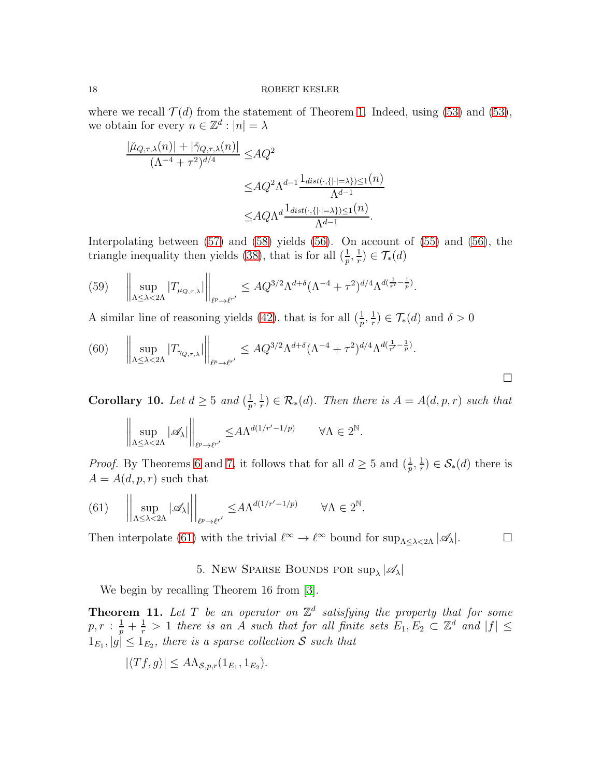where we recall  $\mathcal{T}(d)$  from the statement of Theorem [1.](#page-1-0) Indeed, using [\(53\)](#page-16-2) and (53), we obtain for every  $n \in \mathbb{Z}^d : |n| = \lambda$ 

$$
\frac{|\check{\mu}_{Q,\tau,\lambda}(n)| + |\check{\gamma}_{Q,\tau,\lambda}(n)|}{(\Lambda^{-4} + \tau^2)^{d/4}} \le AQ^2
$$
  

$$
\le AQ^2 \Lambda^{d-1} \frac{\mathbb{1}_{dist(\cdot, \{|\cdot| = \lambda\}) \le 1}(n)}{\Lambda^{d-1}}
$$
  

$$
\le AQ \Lambda^d \frac{\mathbb{1}_{dist(\cdot, \{|\cdot| = \lambda\}) \le 1}(n)}{\Lambda^{d-1}}.
$$

Interpolating between [\(57\)](#page-16-3) and [\(58\)](#page-16-4) yields [\(56\)](#page-16-5). On account of [\(55\)](#page-16-6) and [\(56\)](#page-16-5), the triangle inequality then yields [\(38\)](#page-13-1), that is for all  $(\frac{1}{p}, \frac{1}{r})$  $(\frac{1}{r}) \in \mathcal{T}_{*}(d)$ 

(59) 
$$
\left\| \sup_{\Lambda \leq \lambda < 2\Lambda} |T_{\mu_{Q,\tau,\lambda}}| \right\|_{\ell^p \to \ell^{r'}} \leq A Q^{3/2} \Lambda^{d+\delta} (\Lambda^{-4} + \tau^2)^{d/4} \Lambda^{d(\frac{1}{r'} - \frac{1}{p})}.
$$

A similar line of reasoning yields [\(42\)](#page-14-2), that is for all  $(\frac{1}{p}, \frac{1}{r})$  $(\frac{1}{r}) \in \mathcal{T}_{*}(d)$  and  $\delta > 0$ 

$$
(60) \qquad \left\| \sup_{\Lambda \leq \lambda < 2\Lambda} |T_{\gamma_{Q,\tau,\lambda}}| \right\|_{\ell^p \to \ell^{r'}} \leq A Q^{3/2} \Lambda^{d+\delta} (\Lambda^{-4} + \tau^2)^{d/4} \Lambda^{d(\frac{1}{r'} - \frac{1}{p})}.
$$

Corollary 10. Let  $d \geq 5$  and  $\left(\frac{1}{n}\right)$  $\frac{1}{p},\frac{1}{r}$  $\mathcal{F}_r^1$   $\in \mathcal{R}_*(d)$ . Then there is  $A = A(d, p, r)$  such that

$$
\bigg\|\sup_{\Lambda\leq\lambda<2\Lambda}|\mathscr{A}_\lambda|\bigg\|_{\ell^p\to\ell^{r'}}\leq A\Lambda^{d(1/r'-1/p)}\qquad\forall\Lambda\in 2^\mathbb{N}.
$$

*Proof.* By Theorems [6](#page-8-0) and [7,](#page-11-3) it follows that for all  $d \geq 5$  and  $(\frac{1}{p}, \frac{1}{r})$  $(\frac{1}{r}) \in \mathcal{S}_{*}(d)$  there is  $A = A(d, p, r)$  such that

<span id="page-17-1"></span>(61) 
$$
\left\| \sup_{\Lambda \leq \lambda < 2\Lambda} |\mathscr{A}_{\lambda}| \right\|_{\ell^p \to \ell^{r'}} \leq A \Lambda^{d(1/r'-1/p)} \quad \forall \Lambda \in 2^{\mathbb{N}}.
$$

<span id="page-17-0"></span>Then interpolate [\(61\)](#page-17-1) with the trivial  $\ell^{\infty} \to \ell^{\infty}$  bound for  $\sup_{\Lambda \leq \lambda \leq 2\Lambda} |\mathscr{A}_{\lambda}|$ .

# 5. New Sparse Bounds for  $\sup_{\lambda} |\mathscr{A}_{\lambda}|$

We begin by recalling Theorem 16 from [\[3\]](#page-24-1).

<span id="page-17-2"></span>**Theorem 11.** Let T be an operator on  $\mathbb{Z}^d$  satisfying the property that for some  $p,r:\frac{1}{p}+\frac{1}{r} > 1$  there is an A such that for all finite sets  $E_1, E_2 \subset \mathbb{Z}^d$  and  $|f| \leq$  $1_{E_1}, |g| \leq 1_{E_2}$ , there is a sparse collection S such that

$$
|\langle Tf, g \rangle| \leq A \Lambda_{\mathcal{S},p,r}(1_{E_1}, 1_{E_2}).
$$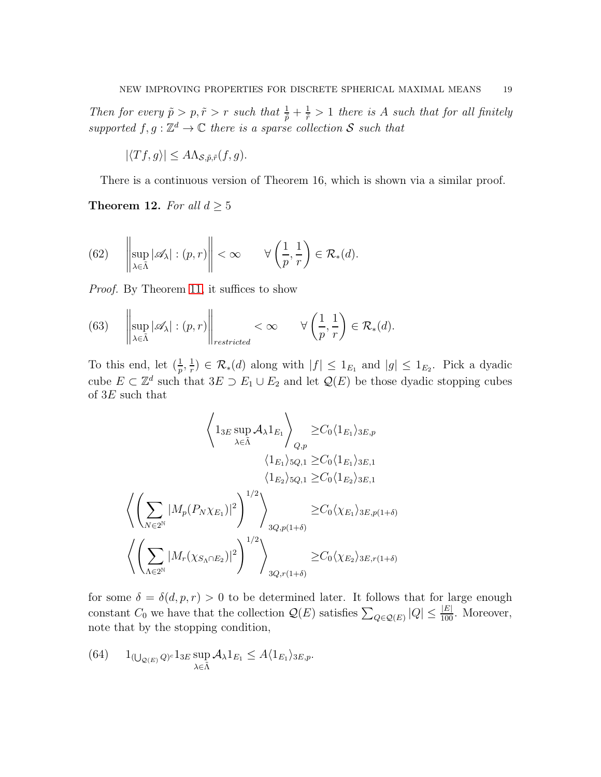Then for every  $\tilde{p} > p, \tilde{r} > r$  such that  $\frac{1}{\tilde{p}} + \frac{1}{\tilde{r}} > 1$  there is A such that for all finitely supported  $f, g : \mathbb{Z}^d \to \mathbb{C}$  there is a sparse collection S such that

 $|\langle Tf, g \rangle| \leq A \Lambda_{\mathcal{S}, \tilde{p}, \tilde{r}}(f, g).$ 

There is a continuous version of Theorem 16, which is shown via a similar proof.

<span id="page-18-1"></span>**Theorem 12.** For all  $d \geq 5$ 

(62) 
$$
\left\| \sup_{\lambda \in \tilde{\Lambda}} |\mathscr{A}_{\lambda}| : (p, r) \right\| < \infty \quad \forall \left( \frac{1}{p}, \frac{1}{r} \right) \in \mathcal{R}_{*}(d).
$$

Proof. By Theorem [11,](#page-17-2) it suffices to show

<span id="page-18-0"></span>(63) 
$$
\left\| \sup_{\lambda \in \tilde{\Lambda}} |\mathscr{A}_{\lambda}| : (p, r) \right\|_{restricted} < \infty \quad \forall \left( \frac{1}{p}, \frac{1}{r} \right) \in \mathcal{R}_{*}(d).
$$

To this end, let  $(\frac{1}{p}, \frac{1}{r})$  $\frac{1}{r}$ )  $\in \mathcal{R}_{*}(d)$  along with  $|f| \leq 1_{E_1}$  and  $|g| \leq 1_{E_2}$ . Pick a dyadic cube  $E \subset \mathbb{Z}^d$  such that  $3E \supset E_1 \cup E_2$  and let  $\mathcal{Q}(E)$  be those dyadic stopping cubes of  $3E$  such that

$$
\left\langle 1_{3E} \sup_{\lambda \in \tilde{\Lambda}} \mathcal{A}_{\lambda} 1_{E_1} \right\rangle_{Q,p} \geq C_0 \langle 1_{E_1} \rangle_{3E,p}
$$
\n
$$
\left\langle 1_{E_1} \rangle_{5Q,1} \geq C_0 \langle 1_{E_1} \rangle_{3E,1}
$$
\n
$$
\left\langle 1_{E_2} \rangle_{5Q,1} \geq C_0 \langle 1_{E_2} \rangle_{3E,1}
$$
\n
$$
\left\langle \left( \sum_{N \in 2^{\mathbb{N}}} |M_p(P_N \chi_{E_1})|^2 \right)^{1/2} \right\rangle_{3Q,p(1+\delta)} \geq C_0 \langle \chi_{E_1} \rangle_{3E,p(1+\delta)}
$$
\n
$$
\left\langle \left( \sum_{\Lambda \in 2^{\mathbb{N}}} |M_r(\chi_{S_{\Lambda} \cap E_2})|^2 \right)^{1/2} \right\rangle_{3Q,r(1+\delta)} \geq C_0 \langle \chi_{E_2} \rangle_{3E,r(1+\delta)}
$$

for some  $\delta = \delta(d, p, r) > 0$  to be determined later. It follows that for large enough constant  $C_0$  we have that the collection  $\mathcal{Q}(E)$  satisfies  $\sum_{Q \in \mathcal{Q}(E)} |Q| \leq \frac{|E|}{100}$ . Moreover, note that by the stopping condition,

(64) 
$$
1_{(\bigcup_{\mathcal{Q}(E)} Q)^c} 1_{3E} \sup_{\lambda \in \tilde{\Lambda}} \mathcal{A}_{\lambda} 1_{E_1} \leq A \langle 1_{E_1} \rangle_{3E, p}.
$$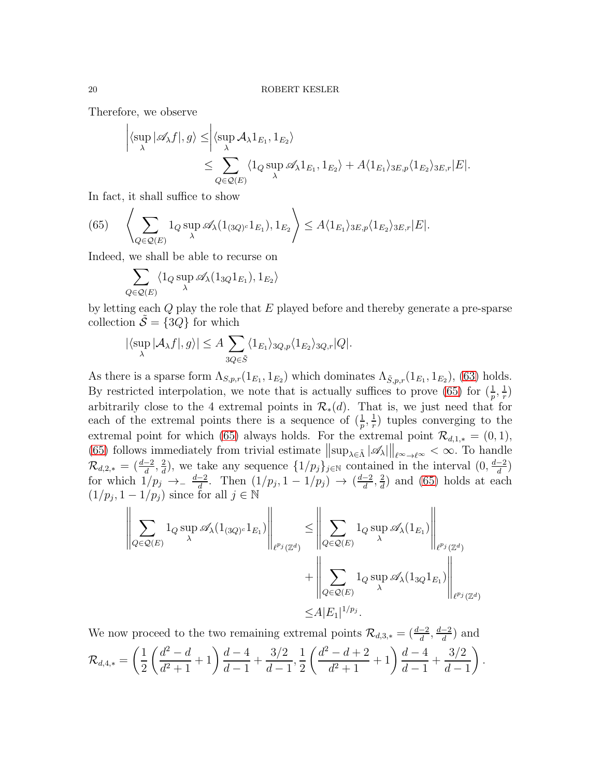Therefore, we observe

$$
\left| \langle \sup_{\lambda} |\mathscr{A}_{\lambda} f |, g \rangle \leq \left| \langle \sup_{\lambda} \mathcal{A}_{\lambda} 1_{E_1}, 1_{E_2} \rangle \right|
$$
  

$$
\leq \sum_{Q \in \mathcal{Q}(E)} \langle 1_Q \sup_{\lambda} \mathscr{A}_{\lambda} 1_{E_1}, 1_{E_2} \rangle + A \langle 1_{E_1} \rangle_{3E, p} \langle 1_{E_2} \rangle_{3E, r} |E|.
$$

In fact, it shall suffice to show

<span id="page-19-0"></span>(65) 
$$
\left\langle \sum_{Q \in \mathcal{Q}(E)} 1_Q \sup_{\lambda} \mathscr{A}_{\lambda}(1_{(3Q)^c} 1_{E_1}), 1_{E_2} \right\rangle \leq A \langle 1_{E_1} \rangle_{3E,p} \langle 1_{E_2} \rangle_{3E,r} |E|.
$$

Indeed, we shall be able to recurse on

$$
\sum_{Q \in \mathcal{Q}(E)} \langle 1_Q \sup_{\lambda} \mathscr{A}_{\lambda}(1_{3Q} 1_{E_1}), 1_{E_2} \rangle
$$

by letting each Q play the role that E played before and thereby generate a pre-sparse collection  $\tilde{\mathcal{S}} = \{3Q\}$  for which

$$
|\langle \sup_{\lambda} |\mathcal{A}_{\lambda} f|, g \rangle| \le A \sum_{3Q \in \tilde{S}} \langle 1_{E_1} \rangle_{3Q, p} \langle 1_{E_2} \rangle_{3Q, r} |Q|.
$$

As there is a sparse form  $\Lambda_{S,p,r}(1_{E_1}, 1_{E_2})$  which dominates  $\Lambda_{\tilde{S},p,r}(1_{E_1}, 1_{E_2})$ , [\(63\)](#page-18-0) holds. By restricted interpolation, we note that is actually suffices to prove [\(65\)](#page-19-0) for  $(\frac{1}{p}, \frac{1}{r})$  $(\frac{1}{r})$ arbitrarily close to the 4 extremal points in  $\mathcal{R}_*(d)$ . That is, we just need that for each of the extremal points there is a sequence of  $(\frac{1}{p}, \frac{1}{r})$  $(\frac{1}{r})$  tuples converging to the extremal point for which [\(65\)](#page-19-0) always holds. For the extremal point  $\mathcal{R}_{d,1,*} = (0,1)$ , [\(65\)](#page-19-0) follows immediately from trivial estimate  $\|\sup_{\lambda \in \tilde{\Lambda}} |\mathscr{A}_{\lambda}| \|_{\ell^{\infty} \to \ell^{\infty}} < \infty$ . To handle  $\mathcal{R}_{d,2,*}\,=\,(\frac{d-2}{d},\frac{2}{d}% )\,\mathcal{Z}_{d}^{A}$  $\frac{2}{d}$ , we take any sequence  $\{1/p_j\}_{j\in\mathbb{N}}$  contained in the interval  $(0, \frac{d-2}{d})$ for which  $1/p_j \rightarrow -\frac{d-2}{d}$ . Then  $(1/p_j, 1-1/p_j) \rightarrow (\frac{d-2}{d}, \frac{2}{d})$  $\frac{2}{d}$ ) and [\(65\)](#page-19-0) holds at each  $(1/p_j, 1-1/p_j)$  since for all  $j \in \mathbb{N}$ 

$$
\left\| \sum_{Q \in \mathcal{Q}(E)} 1_Q \sup_{\lambda} \mathscr{A}_{\lambda}(1_{(3Q)^c} 1_{E_1}) \right\|_{\ell^{p_j}(\mathbb{Z}^d)} \le \left\| \sum_{Q \in \mathcal{Q}(E)} 1_Q \sup_{\lambda} \mathscr{A}_{\lambda}(1_{E_1}) \right\|_{\ell^{p_j}(\mathbb{Z}^d)}
$$

$$
+ \left\| \sum_{Q \in \mathcal{Q}(E)} 1_Q \sup_{\lambda} \mathscr{A}_{\lambda}(1_{3Q} 1_{E_1}) \right\|_{\ell^{p_j}(\mathbb{Z}^d)}
$$

$$
\le A |E_1|^{1/p_j}.
$$

We now proceed to the two remaining extremal points  $\mathcal{R}_{d,3,*} = \left(\frac{d-2}{d}, \frac{d-2}{d}\right)$  and  $\mathcal{R}_{d,4,*} =$  $(1)$ 2  $\int d^2 - d$  $d^2 + 1$  $+1\right)\frac{d-4}{1}$  $d-1$  $+$  $3/2$  $d-1$ , 1 2  $\int d^2 - d + 2$  $d^2 + 1$  $+1\right)\frac{d-4}{1}$  $d-1$  $+$  $3/2$  $d-1$  $\lambda$ .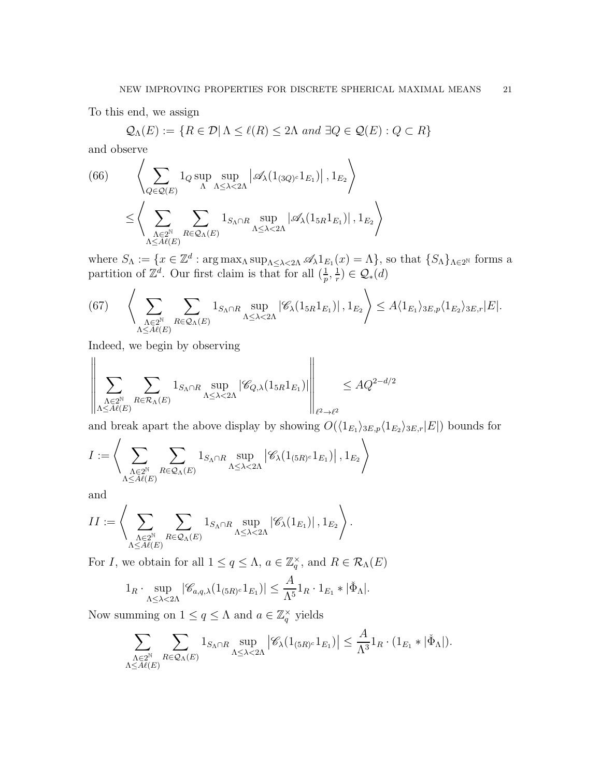To this end, we assign

$$
\mathcal{Q}_{\Lambda}(E) := \{ R \in \mathcal{D} | \Lambda \le \ell(R) \le 2\Lambda \text{ and } \exists Q \in \mathcal{Q}(E) : Q \subset R \}
$$

and observe

<span id="page-20-1"></span>(66) 
$$
\left\langle \sum_{Q \in \mathcal{Q}(E)} 1_Q \sup_{\Lambda} \sup_{\Lambda \leq \lambda < 2\Lambda} \left| \mathscr{A}_{\lambda}(1_{(3Q)^c} 1_{E_1}) \right|, 1_{E_2} \right\rangle
$$

$$
\leq \left\langle \sum_{\substack{\Lambda \in 2^{\mathbb{N}} \\ \Lambda \leq A\ell(E)}} \sum_{R \in \mathcal{Q}_{\Lambda}(E)} 1_{S_{\Lambda} \cap R} \sup_{\Lambda \leq \lambda < 2\Lambda} \left| \mathscr{A}_{\lambda}(1_{5R} 1_{E_1}) \right|, 1_{E_2} \right\rangle
$$

where  $S_{\Lambda} := \{x \in \mathbb{Z}^d : \arg \max_{\Lambda} \sup_{\Lambda \leq \lambda < 2\Lambda} \mathscr{A}_{\lambda} 1_{E_1}(x) = \Lambda \},$  so that  $\{S_{\Lambda}\}_{{\Lambda \in 2^{\mathbb{N}}}}$  forms a partition of  $\mathbb{Z}^d$ . Our first claim is that for all  $(\frac{1}{p}, \frac{1}{r})$  $(\frac{1}{r}) \in \mathcal{Q}_*(d)$ 

<span id="page-20-0"></span>(67) 
$$
\left\langle \sum_{\substack{\Lambda \in 2^{\mathbb{N}} \\ \Lambda \leq A\ell(E)}} \sum_{R \in \mathcal{Q}_{\Lambda}(E)} 1_{S_{\Lambda} \cap R} \sup_{\Lambda \leq \lambda < 2\Lambda} |\mathscr{C}_{\lambda}(1_{5R}1_{E_1})|, 1_{E_2} \right\rangle \leq A \langle 1_{E_1} \rangle_{3E, p} \langle 1_{E_2} \rangle_{3E, r} |E|.
$$

Indeed, we begin by observing

$$
\left\|\sum_{\substack{\Lambda\in 2^{\mathbb{N}}\\ \Lambda\leq A\ell(E)}}\sum_{R\in \mathcal{R}_\Lambda(E)}\mathbf{1}_{S_\Lambda\cap R}\sup_{\Lambda\leq \lambda < 2\Lambda}|\mathscr{C}_{Q,\lambda}(\mathbf{1}_{5R}\mathbf{1}_{E_1})|\right\|_{\ell^2\to \ell^2}\leq AQ^{2-d/2}
$$

and break apart the above display by showing  $O(\langle 1_{E_1} \rangle_{3E,p} \langle 1_{E_2} \rangle_{3E,r} |E|)$  bounds for

$$
I:=\Bigg\langle\sum_{\substack{\Lambda\in 2^{\mathbb{N}}\\ \Lambda\leq A\ell(E)}}\sum_{R\in\mathcal{Q}_{\Lambda}(E)}\mathbf{1}_{S_{\Lambda}\cap R}\sup_{\Lambda\leq\lambda<2\Lambda}\left|\mathscr{C}_{\lambda}(\mathbf{1}_{(5R)^c}\mathbf{1}_{E_1})\right|,\mathbf{1}_{E_2}\Bigg\rangle
$$

and

$$
II:=\Bigg\langle\sum_{\substack{\Lambda\in 2^{\mathbb{N}}\\ \Lambda\leq A\ell(E)}}\sum_{R\in\mathcal{Q}_{\Lambda}(E)}1_{S_{\Lambda}\cap R}\sup_{\Lambda\leq\lambda<2\Lambda}\left|\mathscr{C}_{\lambda}(1_{E_{1}})\right|,1_{E_{2}}\Bigg\rangle\,.
$$

For *I*, we obtain for all  $1 \le q \le \Lambda$ ,  $a \in \mathbb{Z}_q^{\times}$ , and  $R \in \mathcal{R}_{\Lambda}(E)$ 

$$
1_R \cdot \sup_{\Lambda \leq \lambda < 2\Lambda} |\mathscr{C}_{a,q,\lambda}(1_{(5R)^c} 1_{E_1})| \leq \frac{A}{\Lambda^5} 1_R \cdot 1_{E_1} * |\check{\Phi}_{\Lambda}|.
$$

Now summing on  $1 \le q \le \Lambda$  and  $a \in \mathbb{Z}_q^{\times}$  yields

$$
\sum_{\substack{\Lambda \in 2^{\mathbb{N}} \\ \Lambda \leq A\ell(E)}} \sum_{R \in \mathcal{Q}_{\Lambda}(E)} 1_{S_{\Lambda} \cap R} \sup_{\Lambda \leq \lambda < 2\Lambda} \left| \mathscr{C}_{\lambda}(1_{(5R)^c} 1_{E_1}) \right| \leq \frac{A}{\Lambda^3} 1_R \cdot (1_{E_1} * |\check{\Phi}_{\Lambda}|).
$$

A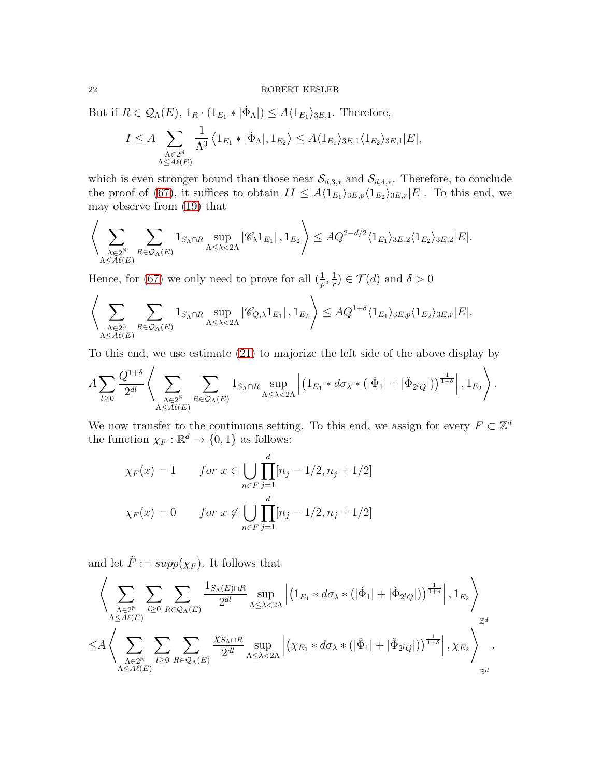But if  $R \in \mathcal{Q}_{\Lambda}(E)$ ,  $1_R \cdot (1_{E_1} * | \check{\Phi}_{\Lambda}|) \leq A \langle 1_{E_1} \rangle_{3E,1}$ . Therefore,

$$
I \leq A \sum_{\substack{\Lambda \in 2^{\mathbb{N}} \\ \Lambda \leq A(\mathbb{E})}} \frac{1}{\Lambda^3} \left\langle 1_{E_1} * |\check{\Phi}_{\Lambda}|, 1_{E_2} \right\rangle \leq A \langle 1_{E_1} \rangle_{3E,1} \langle 1_{E_2} \rangle_{3E,1} |E|,
$$

which is even stronger bound than those near  $\mathcal{S}_{d,3,*}$  and  $\mathcal{S}_{d,4,*}$ . Therefore, to conclude the proof of [\(67\)](#page-20-0), it suffices to obtain  $II \leq A \langle 1_{E_1} \rangle_{3E,p} \langle 1_{E_2} \rangle_{3E,r} |E|$ . To this end, we may observe from [\(19\)](#page-8-3) that

$$
\Bigg\langle\sum_{\substack{\Lambda\in 2^{\mathbb{N}}\\ \Lambda\leq A\ell(E)}}\sum_{R\in\mathcal{Q}_{\Lambda}(E)}1_{S_{\Lambda}\cap R}\sup_{\Lambda\leq\lambda<2\Lambda}|\mathscr{C}_{\lambda}1_{E_{1}}|\,,1_{E_{2}}\Bigg\rangle\leq AQ^{2-d/2}\langle 1_{E_{1}}\rangle_{3E,2}\langle 1_{E_{2}}\rangle_{3E,2}|E|.
$$

Hence, for [\(67\)](#page-20-0) we only need to prove for all  $(\frac{1}{p}, \frac{1}{r})$  $(\frac{1}{r}) \in \mathcal{T}(d)$  and  $\delta > 0$ 

$$
\Bigg\langle\sum_{\substack{\Lambda\in 2^{\mathbb{N}}\\ \Lambda\leq A\ell(E)}}\sum_{R\in\mathcal{Q}_{\Lambda}(E)}1_{S_{\Lambda}\cap R}\sup_{\Lambda\leq \lambda <2\Lambda}|\mathscr{C}_{Q,\lambda}1_{E_1}| \ , 1_{E_2}\Bigg\rangle\leq AQ^{1+\delta}\langle 1_{E_1}\rangle_{3E,p}\langle 1_{E_2}\rangle_{3E,r}|E|.
$$

To this end, we use estimate [\(21\)](#page-8-1) to majorize the left side of the above display by

$$
A\sum_{l\geq 0}\frac{Q^{1+\delta}}{2^{dl}}\left\langle\sum_{\substack{\Lambda\in 2^{\mathbb{N}}\\ \Lambda\leq A\ell(E)}}\sum_{R\in\mathcal{Q}_{\Lambda}(E)}\mathbf{1}_{S_{\Lambda}\cap R}\sup_{\Lambda\leq\lambda<2\Lambda}\left|\left(\mathbf{1}_{E_{1}}\ast d\sigma_{\lambda}\ast\left(|\check{\Phi}_{1}|+|\check{\Phi}_{2^{l}Q}|\right)\right)^{\frac{1}{1+\delta}}\right|,1_{E_{2}}\right\rangle.
$$

We now transfer to the continuous setting. To this end, we assign for every  $F \subset \mathbb{Z}^d$ the function  $\chi_F : \mathbb{R}^d \to \{0,1\}$  as follows:

$$
\chi_F(x) = 1
$$
 for  $x \in \bigcup_{n \in F} \prod_{j=1}^d [n_j - 1/2, n_j + 1/2]$   
 $\chi_F(x) = 0$  for  $x \notin \bigcup_{n \in F} \prod_{j=1}^d [n_j - 1/2, n_j + 1/2]$ 

and let  $\tilde{F} := supp(\chi_F)$ . It follows that

$$
\left\langle \sum_{\substack{\Lambda \in 2^{\mathbb{N}} \\ \Lambda \leq A\ell(E)}} \sum_{l \geq 0} \sum_{R \in \mathcal{Q}_{\Lambda}(E)} \frac{1_{S_{\Lambda}(E) \cap R}}{2^{dl}} \sup_{\Lambda \leq \lambda < 2\Lambda} \left| \left( 1_{E_1} * d\sigma_{\lambda} * (|\check{\Phi}_1| + |\check{\Phi}_{2^lQ}|) \right)^{\frac{1}{1+\delta}} \right|, 1_{E_2} \right\rangle_{\mathbb{Z}^d}
$$
\n
$$
\leq A \left\langle \sum_{\substack{\Lambda \in 2^{\mathbb{N}} \\ \Lambda \leq A\ell(E)}} \sum_{l \geq 0} \sum_{R \in \mathcal{Q}_{\Lambda}(E)} \frac{\chi_{S_{\Lambda} \cap R}}{2^{dl}} \sup_{\Lambda \leq \lambda < 2\Lambda} \left| \left( \chi_{E_1} * d\sigma_{\lambda} * (|\check{\Phi}_1| + |\check{\Phi}_{2^lQ}|) \right)^{\frac{1}{1+\delta}} \right|, \chi_{E_2} \right\rangle_{\mathbb{R}^d}.
$$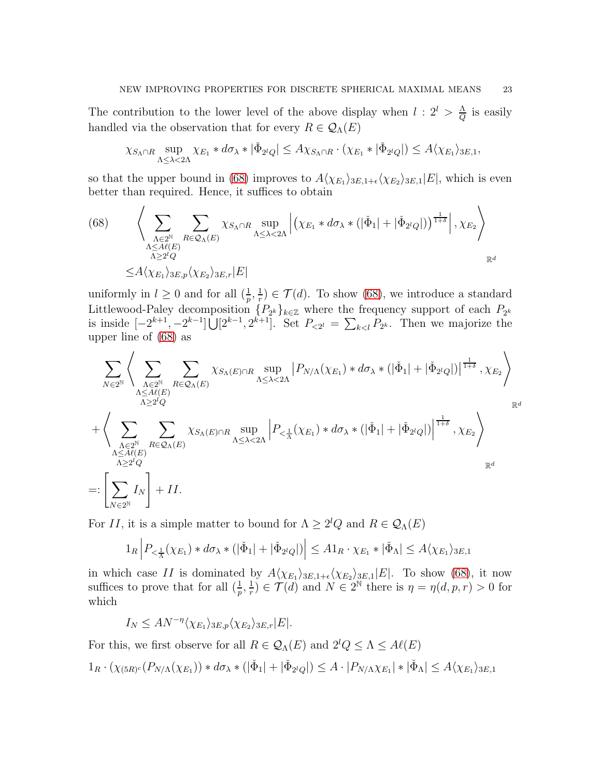The contribution to the lower level of the above display when  $l: 2^l > \frac{\Lambda}{Q}$  $rac{\Lambda}{Q}$  is easily handled via the observation that for every  $R \in \mathcal{Q}_{\Lambda}(E)$ 

$$
\chi_{S_{\Lambda}\cap R} \sup_{\Lambda \leq \lambda < 2\Lambda} \chi_{E_1} * d\sigma_\lambda * |\check{\Phi}_{2^lQ}| \leq A \chi_{S_{\Lambda}\cap R} \cdot (\chi_{E_1} * |\check{\Phi}_{2^lQ}|) \leq A \langle \chi_{E_1} \rangle_{3E,1},
$$

so that the upper bound in [\(68\)](#page-22-0) improves to  $A\langle \chi_{E_1} \rangle_{3E,1+\epsilon} \langle \chi_{E_2} \rangle_{3E,1}|E|$ , which is even better than required. Hence, it suffices to obtain

<span id="page-22-0"></span>(68) 
$$
\left\langle \sum_{\substack{\Lambda \in 2^{\mathbb{N}} \\ \Lambda \leq A(\ell) \\ \Lambda \geq 2^l Q}} \sum_{\substack{R \in \mathcal{Q}_{\Lambda}(E) \\ \Lambda \geq 2^l Q}} \chi_{S_{\Lambda} \cap R} \sup_{\Lambda \leq \lambda < 2\Lambda} \left| \left( \chi_{E_1} * d\sigma_{\lambda} * \left( |\check{\Phi}_1| + |\check{\Phi}_{2^l Q}| \right) \right)^{\frac{1}{1+\delta}} \right|, \chi_{E_2} \right\rangle_{\mathbb{R}^d}
$$
\n
$$
\leq A \langle \chi_{E_1} \rangle_{3E, p} \langle \chi_{E_2} \rangle_{3E, r} |E|
$$

uniformly in  $l \geq 0$  and for all  $(\frac{1}{p}, \frac{1}{r})$  $(\frac{1}{r}) \in \mathcal{T}(d)$ . To show [\(68\)](#page-22-0), we introduce a standard Littlewood-Paley decomposition  $\{P_{2^k}\}_{k\in\mathbb{Z}}$  where the frequency support of each  $P_{2^k}$ is inside  $[-2^{k+1}, -2^{k-1}] \bigcup [2^{k-1}, 2^{k+1}]$ . Set  $P_{< 2^l} = \sum_{k < l} P_{2^k}$ . Then we majorize the upper line of [\(68\)](#page-22-0) as

$$
\sum_{N\in 2^{\mathbb{N}}}\left\langle\sum_{\substack{\Lambda\in 2^{\mathbb{N}}\\ \Lambda\geq 2^{\mathbb{N}}Q}}\sum_{\substack{R\in \mathcal{Q}_{\Lambda}(E)\\ \Lambda\geq 2^{\mathbb{N}}Q}}\chi_{S_{\Lambda}(E)\cap R}\sup_{\Lambda\leq \lambda< 2\Lambda}\left|P_{N/\Lambda}(\chi_{E_1})\ast d\sigma_{\lambda}\ast\left(|\check{\Phi}_1|+|\check{\Phi}_{2^lQ}|\right)\right|^{\frac{1}{1+\delta}},\chi_{E_2}\right\rangle
$$
\n
$$
+\left\langle\sum_{\substack{\Lambda\in 2^{\mathbb{N}}\\ \Lambda\leq A\ell(E)\\ \Lambda\geq 2^lQ}}\sum_{R\in \mathcal{Q}_{\Lambda}(E)}\chi_{S_{\Lambda}(E)\cap R}\sup_{\Lambda\leq \lambda< 2\Lambda}\left|P_{<\frac{1}{\Lambda}}(\chi_{E_1})\ast d\sigma_{\lambda}\ast\left(|\check{\Phi}_1|+|\check{\Phi}_{2^lQ}|\right)\right|^{\frac{1}{1+\delta}},\chi_{E_2}\right\rangle
$$
\n
$$
=: \left[\sum_{N\in 2^{\mathbb{N}}}I_N\right]+II.
$$

For II, it is a simple matter to bound for  $\Lambda \geq 2^l Q$  and  $R \in \mathcal{Q}_{\Lambda}(E)$ 

$$
1_R \left| P_{\leq \frac{1}{\Lambda}}(\chi_{E_1}) * d\sigma_\lambda * (|\check{\Phi}_1| + |\check{\Phi}_{2^lQ}|) \right| \leq A1_R \cdot \chi_{E_1} * |\check{\Phi}_\Lambda| \leq A \langle \chi_{E_1} \rangle_{3E,1}
$$

in which case II is dominated by  $A(\chi_{E_1})_{3E,1+\epsilon}\langle \chi_{E_2}\rangle_{3E,1}|E|$ . To show [\(68\)](#page-22-0), it now suffices to prove that for all  $(\frac{1}{p}, \frac{1}{r})$  $\frac{1}{r}$ )  $\in \mathcal{T}(d)$  and  $N \in 2^{\mathbb{N}}$  there is  $\eta = \eta(d, p, r) > 0$  for which

 $I_N \leq A N^{-\eta} \langle \chi_{E_1} \rangle_{3E,p} \langle \chi_{E_2} \rangle_{3E,r} |E|.$ 

For this, we first observe for all  $R \in \mathcal{Q}_{\Lambda}(E)$  and  $2^l Q \leq \Lambda \leq A\ell(E)$  $1_R \cdot (\chi_{(5R)^c}(P_{N/\Lambda}(\chi_{E_1})) * d\sigma_\lambda * (\vert \check{\Phi}_1 \vert + \vert \check{\Phi}_{2^lQ} \vert) \leq A \cdot |P_{N/\Lambda} \chi_{E_1}| * |\check{\Phi}_\Lambda| \leq A \langle \chi_{E_1} \rangle_{3E,1}$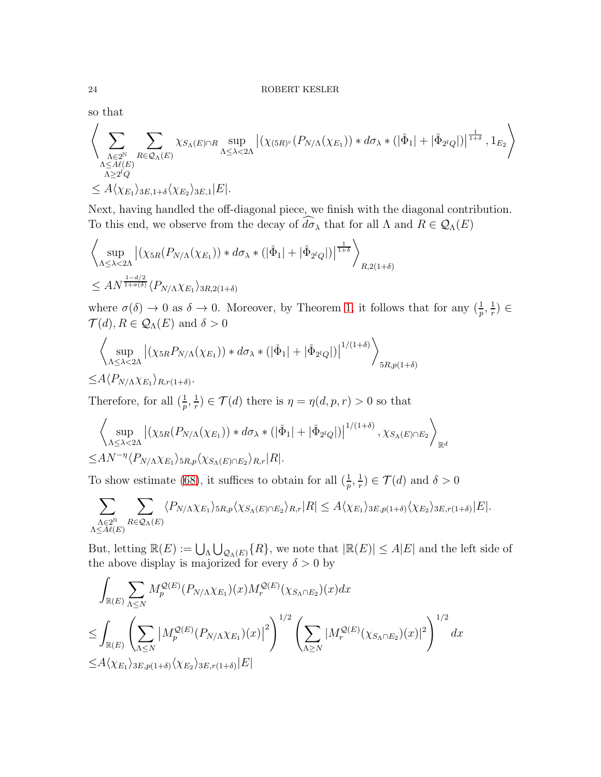so that

$$
\left\langle \sum_{\substack{\Lambda \in 2^{\mathbb{N}} \\ \Lambda \leq A\ell(E)}} \sum_{\substack{R \in \mathcal{Q}_{\Lambda}(E) \\ \Lambda \geq lQ}} \chi_{S_{\Lambda}(E) \cap R} \sup_{\Lambda \leq \lambda < 2\Lambda} \left| (\chi_{(5R)^c}(P_{N/\Lambda}(\chi_{E_1})) * d\sigma_\lambda * (\left| \check{\Phi}_1 \right| + \left| \check{\Phi}_{2^lQ} \right|) \right|^{\frac{1}{1+\delta}}, 1_{E_2} \right\rangle
$$
  
\$\leq A \langle \chi\_{E\_1} \rangle\_{3E, 1+\delta} \langle \chi\_{E\_2} \rangle\_{3E, 1} | E|.

Next, having handled the off-diagonal piece, we finish with the diagonal contribution. To this end, we observe from the decay of  $\widehat{d\sigma}_{\lambda}$  that for all  $\Lambda$  and  $R \in \mathcal{Q}_{\Lambda}(E)$ 

$$
\left\langle \sup_{\Lambda \leq \lambda < 2\Lambda} \left| (\chi_{5R}(P_{N/\Lambda}(\chi_{E_1})) * d\sigma_\lambda * (|\check{\Phi}_1| + |\check{\Phi}_{2^lQ}|) \right|^{\frac{1}{1+\delta}} \right\rangle_{R,2(1+\delta)}
$$
\n
$$
\leq A N^{\frac{1-d/2}{1+\sigma(\delta)}} \langle P_{N/\Lambda} \chi_{E_1} \rangle_{3R,2(1+\delta)}
$$

where  $\sigma(\delta) \to 0$  as  $\delta \to 0$ . Moreover, by Theorem [1,](#page-1-0) it follows that for any  $(\frac{1}{p}, \frac{1}{r})$  $(\frac{1}{r}) \in$  $\mathcal{T}(d), R \in \mathcal{Q}_{\Lambda}(E)$  and  $\delta > 0$ 

$$
\left\langle \sup_{\Lambda \leq \lambda < 2\Lambda} \left| (\chi_{5R} P_{N/\Lambda}(\chi_{E_1})) * d\sigma_\lambda * \left( |\check{\Phi}_1| + |\check{\Phi}_{2^lQ}| \right) \right|^{1/(1+\delta)} \right\rangle_{5R, p(1+\delta)}
$$
\n
$$
\leq A \langle P_{N/\Lambda} \chi_{E_1} \rangle_{R, r(1+\delta)}.
$$

Therefore, for all  $(\frac{1}{p}, \frac{1}{r})$  $(\frac{1}{r}) \in \mathcal{T}(d)$  there is  $\eta = \eta(d, p, r) > 0$  so that

$$
\left\langle \sup_{\Lambda \leq \lambda < 2\Lambda} \left| (\chi_{5R}(P_{N/\Lambda}(\chi_{E_1})) * d\sigma_\lambda * (\left| \check{\Phi}_1 \right| + \left| \check{\Phi}_{2^lQ} \right|) \right|^{1/(1+\delta)}, \chi_{S_\Lambda(E) \cap E_2} \right\rangle_{\mathbb{R}^d}
$$
\n
$$
\leq A N^{-\eta} \langle P_{N/\Lambda} \chi_{E_1} \rangle_{5R,p} \langle \chi_{S_\Lambda(E) \cap E_2} \rangle_{R,r} |R|.
$$

To show estimate [\(68\)](#page-22-0), it suffices to obtain for all  $(\frac{1}{p}, \frac{1}{r})$  $(\frac{1}{r}) \in \mathcal{T}(d)$  and  $\delta > 0$ 

$$
\sum_{\substack{\Lambda \in 2^{\mathbb{N}} \\ \Lambda \leq A\ell(E)}} \sum_{R \in \mathcal{Q}_{\Lambda}(E)} \langle P_{N/\Lambda} \chi_{E_1} \rangle_{5R,p} \langle \chi_{S_{\Lambda}(E) \cap E_2} \rangle_{R,r} |R| \leq A \langle \chi_{E_1} \rangle_{3E,p(1+\delta)} \langle \chi_{E_2} \rangle_{3E,r(1+\delta)} |E|.
$$

But, letting  $\mathbb{R}(E) := \bigcup_{\Lambda} \bigcup_{\mathcal{Q}_{\Lambda}(E)} \{R\}$ , we note that  $|\mathbb{R}(E)| \leq A|E|$  and the left side of the above display is majorized for every  $\delta > 0$  by

$$
\int_{\mathbb{R}(E)} \sum_{\Lambda \le N} M_p^{\mathcal{Q}(E)} (P_{N/\Lambda} \chi_{E_1})(x) M_r^{\mathcal{Q}(E)}(\chi_{S_{\Lambda} \cap E_2})(x) dx
$$
\n
$$
\le \int_{\mathbb{R}(E)} \left( \sum_{\Lambda \le N} \left| M_p^{\mathcal{Q}(E)} (P_{N/\Lambda} \chi_{E_1})(x) \right|^2 \right)^{1/2} \left( \sum_{\Lambda \ge N} |M_r^{\mathcal{Q}(E)} (\chi_{S_{\Lambda} \cap E_2})(x) |^2 \right)^{1/2} dx
$$
\n
$$
\le A \langle \chi_{E_1} \rangle_{3E, p(1+\delta)} \langle \chi_{E_2} \rangle_{3E, r(1+\delta)} |E|
$$